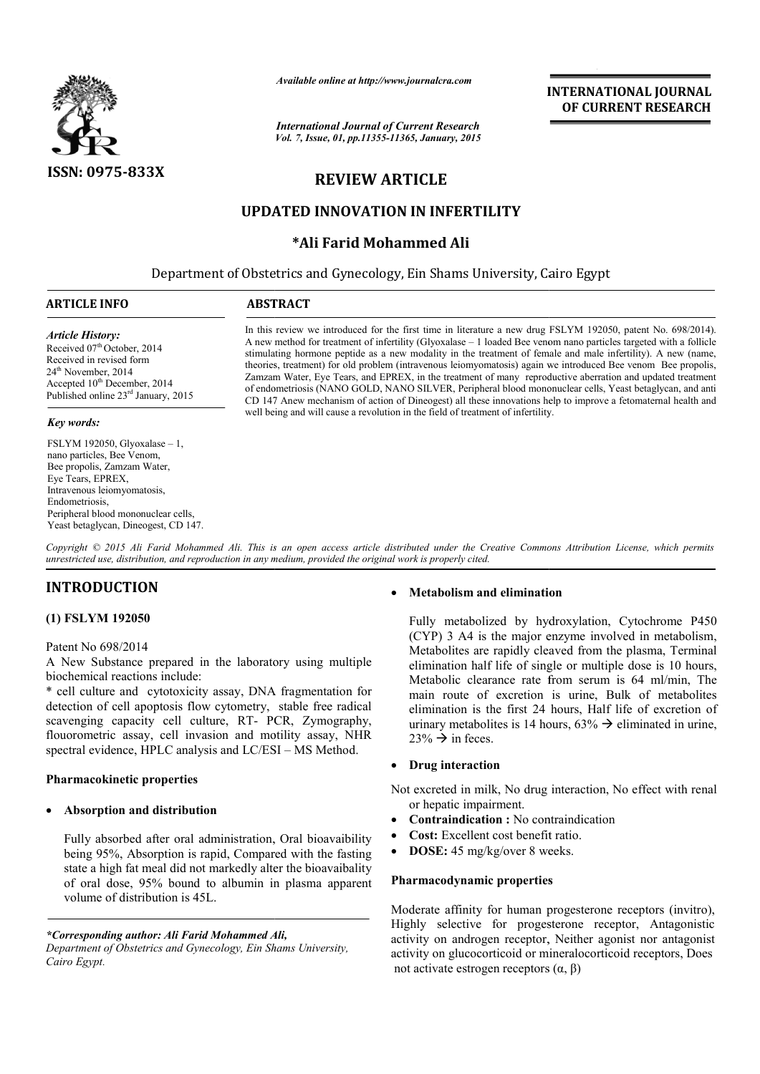

*Available online at http://www.journalcra.com*

*International Journal of Current Research Vol. 7, Issue, 01, pp.11355-11365, January, 2015* **INTERNATIONAL INTERNATIONAL JOURNAL OF CURRENT RESEARCH** 

# **REVIEW ARTICLE**

## **UPDATED INNOVATION IN INFERTILITY**

## **\*Ali Farid Mohammed Ali**

Department of Obstetrics and Gynecology, Ein Shams University, Cairo Egypt 1

## **ARTICLE INFO ABSTRACT**

*Article History:*

Received 07<sup>th</sup> October, 2014 Received in revised form 24<sup>th</sup> November, 2014 Accepted 10<sup>th</sup> December, 2014 Published online 23rd January, 2015

#### *Key words:*

FSLYM 192050, Glyoxalase – 1, nano particles, Bee Venom, Bee propolis, Zamzam Water, Eye Tears, EPREX, Intravenous leiomyomatosis, Endometriosis, Peripheral blood mononuclear cells, Yeast betaglycan, Dineogest, CD 147.

In this review we introduced for the first time in literature a new drug FSLYM 192050, patent No. 698/2014). A new method for treatment of infertility (Glyoxalase – 1 loaded Bee venom nano particles targeted with a follicle stimulating hormone peptide as a new modality in the treatment of female and male infertility). A new (name, theories, treatment) for old problem (intravenous leiomyomatosis) again we introduced Bee venom Bee propolis, Zamzam Water, Eye Tears, and EPREX, in the treatment of many reproductive aberration and updated treatment of endometriosis (NANO GOLD, NANO SILVER, Peripheral blood mononuclear cells, Yeast betaglycan, and anti CD 147 Anew mechanism of action of Dineogest) all these innovations help to improve a fetomaternal health and well being and will cause a revolution in the field of treatment of infertility. In this review we introduced for the first time in literature a new drug FSLYM 192050, patent No. 698/2014). A new method for treatment of infertility (Glyoxalase – 1 loaded Bee venom nano particles targeted with a follicl

Copyright © 2015 Ali Farid Mohammed Ali. This is an open access article distributed under the Creative Commons Attribution License, which permits *unrestricted use, distribution, and reproduction in any medium, provided the original work is properly cited.*

## **INTRODUCTION**

## **(1) FSLYM 192050**

## Patent No 698/2014

A New Substance prepared in the laboratory using multiple biochemical reactions include:

\* cell culture and cytotoxicity assay, DNA fragmentation for detection of cell apoptosis flow cytometry, stable free radical scavenging capacity cell culture, RT- PCR, Zymography, flouorometric assay, cell invasion and motility assay, NHR spectral evidence, HPLC analysis and LC/ESI – MS Method.

## **Pharmacokinetic properties**

## **Absorption and distribution**

Fully absorbed after oral administration, Oral bioavaibility being 95%, Absorption is rapid, Compared with the fasting state a high fat meal did not markedly alter the bioavaibality of oral dose, 95% bound to albumin in plasma apparent volume of distribution is 45L.

## **Metabolism and elimination Metabolism and**

Fully metabolized by hydroxylation, Cytochrome P450 (CYP) 3 A4 is the major enzyme involved in metabolism, Metabolites are rapidly cleaved from the plasma, Terminal elimination half life of single or multiple dose is 10 hours, Metabolic clearance rate from serum is 64 ml/min. The main route of excretion is urine, Bulk of metabolites elimination is the first 24 hours, Half life of excretion of urinary metabolites is 14 hours,  $63\% \rightarrow$  eliminated in urine,  $23\% \rightarrow$  in feces. metabolized by hydroxylation, Cytochrome P450 3 A4 is the major enzyme involved in metabolism, blites are rapidly cleaved from the plasma, Terminal ation half life of single or multiple dose is 10 hours, blic clearance rat tion is urine, Bulk of metabolites<br>it 24 hours, Half life of excretion of<br>14 hours,  $63\% \rightarrow$  eliminated in urine, INTERNATIONAL JOURNAL<br>
FCurrent Research<br>
TOSS, Jamuary, 2013<br>
ATICLE<br>
SPICELE<br>
SPICE CORRENT RESEARCH<br>
ATICLE<br>
ATICLE<br>
ATICLE<br>
ATICLE<br>
ATICLE<br>
ATICLE<br>
ATICLE<br>
ATICLE<br>
ATICLE<br>
ATICLE<br>
ATICLE<br>
ATICLE<br>
ATICLE<br>
ATICLE<br>
ATICL

## **Drug interaction**

Not excreted in milk, No drug interaction, No effect with renal<br>
or hepatic impairment.<br>
• **Contraindication :** No contraindication<br>
• **Cost:** Excellent cost benefit ratio. or hepatic impairment.

- **Contraindication :** No contraindication
- **Cost:** Excellent cost benefit ratio.
- **DOSE:** 45 mg/kg/over 8 weeks.

## **Pharmacodynamic properties**

Moderate affinity for human progesterone receptors (invitro), Highly selective for progesterone receptor, Antagonistic activity on androgen receptor, Neither agonist nor antagonist activity on glucocorticoid or mineralocorticoid receptors, Does not activate estrogen receptors (α, β)

*<sup>\*</sup>Corresponding author: Ali Farid Mohammed Ali,* 

*Department of Obstetrics and Gynecology, Ein Shams University, Cairo Egypt.*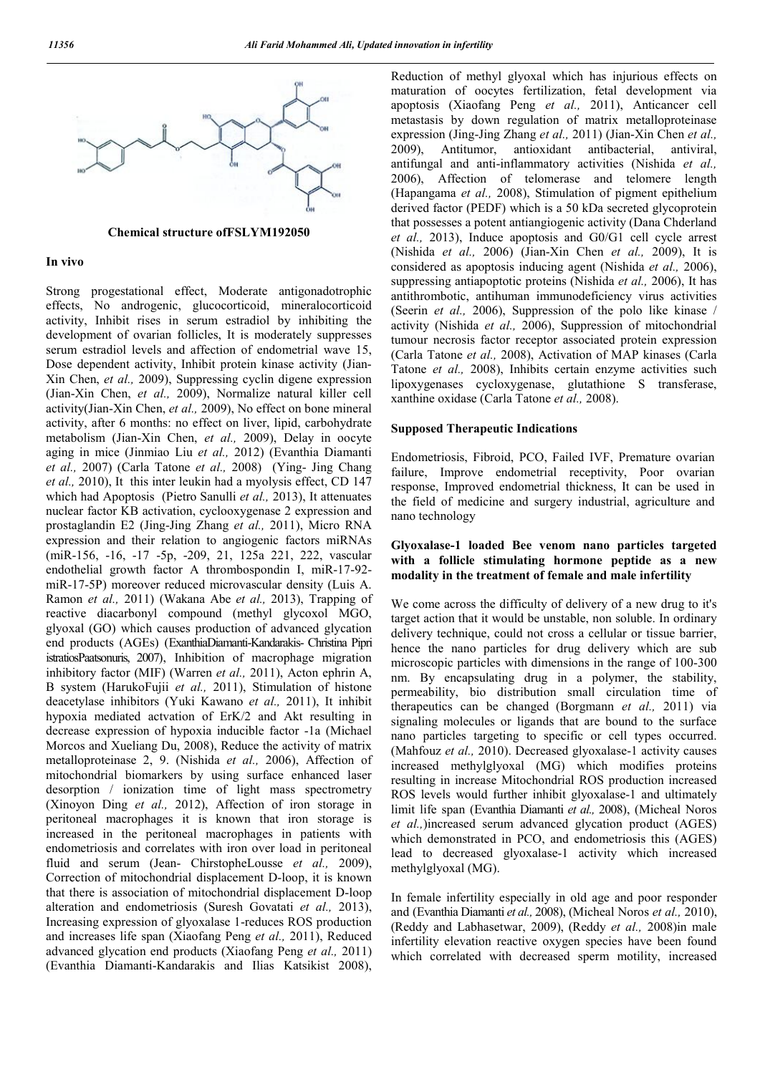

#### **Chemical structure ofFSLYM192050**

#### **In vivo**

Strong progestational effect, Moderate antigonadotrophic effects, No androgenic, glucocorticoid, mineralocorticoid activity, Inhibit rises in serum estradiol by inhibiting the development of ovarian follicles, It is moderately suppresses serum estradiol levels and affection of endometrial wave 15, Dose dependent activity, Inhibit protein kinase activity (Jian-Xin Chen, *et al.,* 2009), Suppressing cyclin digene expression (Jian-Xin Chen, *et al.,* 2009), Normalize natural killer cell activity(Jian-Xin Chen, *et al.,* 2009), No effect on bone mineral activity, after 6 months: no effect on liver, lipid, carbohydrate metabolism (Jian-Xin Chen, *et al.,* 2009), Delay in oocyte aging in mice (Jinmiao Liu *et al.,* 2012) (Evanthia Diamanti *et al.,* 2007) (Carla Tatone *et al.,* 2008) (Ying- Jing Chang *et al.,* 2010), It this inter leukin had a myolysis effect, CD 147 which had Apoptosis (Pietro Sanulli *et al.,* 2013), It attenuates nuclear factor KB activation, cyclooxygenase 2 expression and prostaglandin E2 (Jing-Jing Zhang *et al.,* 2011), Micro RNA expression and their relation to angiogenic factors miRNAs (miR-156, -16, -17 -5p, -209, 21, 125a 221, 222, vascular endothelial growth factor A thrombospondin I, miR-17-92 miR-17-5P) moreover reduced microvascular density (Luis A. Ramon *et al.,* 2011) (Wakana Abe *et al.,* 2013), Trapping of reactive diacarbonyl compound (methyl glycoxol MGO, glyoxal (GO) which causes production of advanced glycation end products (AGEs) (ExanthiaDiamanti-Kandarakis- Christina Pipri istratiosPaatsonuris, 2007), Inhibition of macrophage migration inhibitory factor (MIF) (Warren *et al.,* 2011), Acton ephrin A, B system (HarukoFujii *et al.,* 2011), Stimulation of histone deacetylase inhibitors (Yuki Kawano *et al.,* 2011), It inhibit hypoxia mediated actvation of ErK/2 and Akt resulting in decrease expression of hypoxia inducible factor -1a (Michael Morcos and Xueliang Du, 2008), Reduce the activity of matrix metalloproteinase 2, 9. (Nishida *et al.,* 2006), Affection of mitochondrial biomarkers by using surface enhanced laser desorption / ionization time of light mass spectrometry (Xinoyon Ding *et al.,* 2012), Affection of iron storage in peritoneal macrophages it is known that iron storage is increased in the peritoneal macrophages in patients with endometriosis and correlates with iron over load in peritoneal fluid and serum (Jean- ChirstopheLousse *et al.,* 2009), Correction of mitochondrial displacement D-loop, it is known that there is association of mitochondrial displacement D-loop alteration and endometriosis (Suresh Govatati *et al.,* 2013), Increasing expression of glyoxalase 1-reduces ROS production and increases life span (Xiaofang Peng *et al.,* 2011), Reduced advanced glycation end products (Xiaofang Peng *et al.,* 2011) (Evanthia Diamanti-Kandarakis and Ilias Katsikist 2008),

Reduction of methyl glyoxal which has injurious effects on maturation of oocytes fertilization, fetal development via apoptosis (Xiaofang Peng *et al.,* 2011), Anticancer cell metastasis by down regulation of matrix metalloproteinase expression (Jing-Jing Zhang *et al.,* 2011) (Jian-Xin Chen *et al.,* 2009), Antitumor, antioxidant antibacterial, antiviral, antifungal and anti-inflammatory activities (Nishida *et al.,* 2006), Affection of telomerase and telomere length (Hapangama *et al.,* 2008), Stimulation of pigment epithelium derived factor (PEDF) which is a 50 kDa secreted glycoprotein that possesses a potent antiangiogenic activity (Dana Chderland *et al.,* 2013), Induce apoptosis and G0/G1 cell cycle arrest (Nishida *et al.,* 2006) (Jian-Xin Chen *et al.,* 2009), It is considered as apoptosis inducing agent (Nishida *et al.,* 2006), suppressing antiapoptotic proteins (Nishida *et al.,* 2006), It has antithrombotic, antihuman immunodeficiency virus activities (Seerin *et al.,* 2006), Suppression of the polo like kinase / activity (Nishida *et al.,* 2006), Suppression of mitochondrial tumour necrosis factor receptor associated protein expression (Carla Tatone *et al.,* 2008), Activation of MAP kinases (Carla Tatone *et al.,* 2008), Inhibits certain enzyme activities such lipoxygenases cycloxygenase, glutathione S transferase, xanthine oxidase (Carla Tatone *et al.,* 2008).

#### **Supposed Therapeutic Indications**

Endometriosis, Fibroid, PCO, Failed IVF, Premature ovarian failure, Improve endometrial receptivity, Poor ovarian response, Improved endometrial thickness, It can be used in the field of medicine and surgery industrial, agriculture and nano technology

## **Glyoxalase-1 loaded Bee venom nano particles targeted with a follicle stimulating hormone peptide as a new modality in the treatment of female and male infertility**

We come across the difficulty of delivery of a new drug to it's target action that it would be unstable, non soluble. In ordinary delivery technique, could not cross a cellular or tissue barrier, hence the nano particles for drug delivery which are sub microscopic particles with dimensions in the range of 100-300 nm. By encapsulating drug in a polymer, the stability, permeability, bio distribution small circulation time of therapeutics can be changed (Borgmann *et al.,* 2011) via signaling molecules or ligands that are bound to the surface nano particles targeting to specific or cell types occurred. (Mahfouz *et al.,* 2010). Decreased glyoxalase-1 activity causes increased methylglyoxal (MG) which modifies proteins resulting in increase Mitochondrial ROS production increased ROS levels would further inhibit glyoxalase-1 and ultimately limit life span (Evanthia Diamanti *et al.,* 2008), (Micheal Noros *et al.,*)increased serum advanced glycation product (AGES) which demonstrated in PCO, and endometriosis this (AGES) lead to decreased glyoxalase-1 activity which increased methylglyoxal (MG).

In female infertility especially in old age and poor responder and (Evanthia Diamanti *et al.,* 2008), (Micheal Noros *et al.,* 2010), (Reddy and Labhasetwar, 2009), (Reddy *et al.,* 2008)in male infertility elevation reactive oxygen species have been found which correlated with decreased sperm motility, increased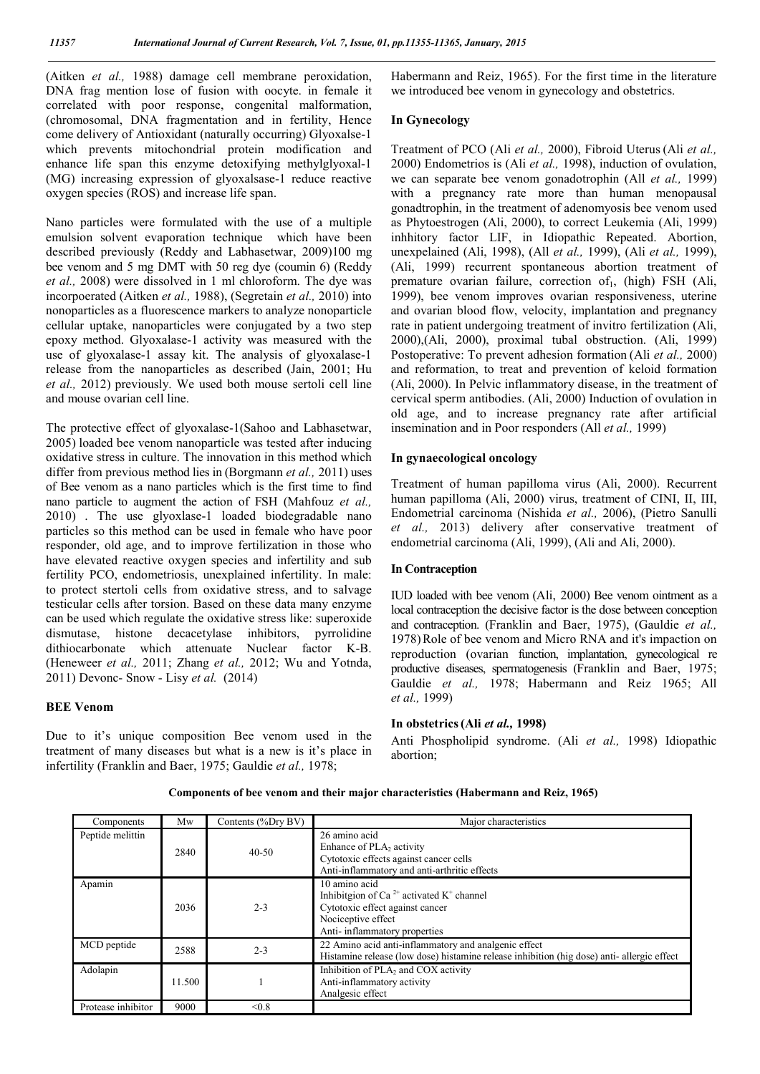(Aitken *et al.,* 1988) damage cell membrane peroxidation, DNA frag mention lose of fusion with oocyte. in female it correlated with poor response, congenital malformation, (chromosomal, DNA fragmentation and in fertility, Hence come delivery of Antioxidant (naturally occurring) Glyoxalse-1 which prevents mitochondrial protein modification and enhance life span this enzyme detoxifying methylglyoxal-1 (MG) increasing expression of glyoxalsase-1 reduce reactive oxygen species (ROS) and increase life span.

Nano particles were formulated with the use of a multiple emulsion solvent evaporation technique which have been described previously (Reddy and Labhasetwar, 2009)100 mg bee venom and 5 mg DMT with 50 reg dye (coumin 6) (Reddy *et al.,* 2008) were dissolved in 1 ml chloroform. The dye was incorpoerated (Aitken *et al.,* 1988), (Segretain *et al.,* 2010) into nonoparticles as a fluorescence markers to analyze nonoparticle cellular uptake, nanoparticles were conjugated by a two step epoxy method. Glyoxalase-1 activity was measured with the use of glyoxalase-1 assay kit. The analysis of glyoxalase-1 release from the nanoparticles as described (Jain, 2001; Hu *et al.,* 2012) previously. We used both mouse sertoli cell line and mouse ovarian cell line.

The protective effect of glyoxalase-1(Sahoo and Labhasetwar, 2005) loaded bee venom nanoparticle was tested after inducing oxidative stress in culture. The innovation in this method which differ from previous method lies in (Borgmann *et al.,* 2011) uses of Bee venom as a nano particles which is the first time to find nano particle to augment the action of FSH (Mahfouz *et al.,* 2010) . The use glyoxlase-1 loaded biodegradable nano particles so this method can be used in female who have poor responder, old age, and to improve fertilization in those who have elevated reactive oxygen species and infertility and sub fertility PCO, endometriosis, unexplained infertility. In male: to protect stertoli cells from oxidative stress, and to salvage testicular cells after torsion. Based on these data many enzyme can be used which regulate the oxidative stress like: superoxide dismutase, histone decacetylase inhibitors, pyrrolidine dithiocarbonate which attenuate Nuclear factor K-B. (Heneweer *et al.,* 2011; Zhang *et al.,* 2012; Wu and Yotnda, 2011) Devonc- Snow - Lisy *et al.* (2014)

#### **BEE Venom**

Due to it's unique composition Bee venom used in the treatment of many diseases but what is a new is it's place in infertility (Franklin and Baer, 1975; Gauldie *et al.,* 1978;

Habermann and Reiz, 1965). For the first time in the literature we introduced bee venom in gynecology and obstetrics.

#### **In Gynecology**

Treatment of PCO (Ali *et al.,* 2000), Fibroid Uterus (Ali *et al.,* 2000) Endometrios is (Ali *et al.,* 1998), induction of ovulation, we can separate bee venom gonadotrophin (All *et al.,* 1999) with a pregnancy rate more than human menopausal gonadtrophin, in the treatment of adenomyosis bee venom used as Phytoestrogen (Ali, 2000), to correct Leukemia (Ali, 1999) inhhitory factor LIF, in Idiopathic Repeated. Abortion, unexpelained (Ali, 1998), (All *et al.,* 1999), (Ali *et al.,* 1999), (Ali, 1999) recurrent spontaneous abortion treatment of premature ovarian failure, correction of $_1$ , (high) FSH (Ali, 1999), bee venom improves ovarian responsiveness, uterine and ovarian blood flow, velocity, implantation and pregnancy rate in patient undergoing treatment of invitro fertilization (Ali, 2000),(Ali, 2000), proximal tubal obstruction. (Ali, 1999) Postoperative: To prevent adhesion formation (Ali *et al.,* 2000) and reformation, to treat and prevention of keloid formation (Ali, 2000). In Pelvic inflammatory disease, in the treatment of cervical sperm antibodies. (Ali, 2000) Induction of ovulation in old age, and to increase pregnancy rate after artificial insemination and in Poor responders (All *et al.,* 1999)

#### **In gynaecological oncology**

Treatment of human papilloma virus (Ali, 2000). Recurrent human papilloma (Ali, 2000) virus, treatment of CINI, II, III, Endometrial carcinoma (Nishida *et al.,* 2006), (Pietro Sanulli *et al.,* 2013) delivery after conservative treatment of endometrial carcinoma (Ali, 1999), (Ali and Ali, 2000).

## **In Contraception**

IUD loaded with bee venom (Ali, 2000) Bee venom ointment as a local contraception the decisive factor is the dose between conception and contraception. (Franklin and Baer, 1975), (Gauldie *et al.,* 1978)Role of bee venom and Micro RNA and it's impaction on reproduction (ovarian function, implantation, gynecological re productive diseases, spermatogenesis (Franklin and Baer, 1975; Gauldie *et al.,* 1978; Habermann and Reiz 1965; All *et al.,* 1999)

#### **In obstetrics(Ali** *et al.,* **1998)**

Anti Phospholipid syndrome. (Ali *et al.,* 1998) Idiopathic abortion;

| Components         | Mw     | Contents (%Dry BV) | Major characteristics                                                                                                                                                      |
|--------------------|--------|--------------------|----------------------------------------------------------------------------------------------------------------------------------------------------------------------------|
| Peptide melittin   | 2840   | $40 - 50$          | 26 amino acid<br>Enhance of $PLA_2$ activity<br>Cytotoxic effects against cancer cells<br>Anti-inflammatory and anti-arthritic effects                                     |
| Apamin             | 2036   | $2 - 3$            | 10 amino acid<br>Inhibitgion of Ca <sup>2+</sup> activated K <sup>+</sup> channel<br>Cytotoxic effect against cancer<br>Nociceptive effect<br>Anti-inflammatory properties |
| MCD peptide        | 2588   | $2 - 3$            | 22 Amino acid anti-inflammatory and analgenic effect<br>Histamine release (low dose) histamine release inhibition (hig dose) anti-allergic effect                          |
| Adolapin           | 11.500 |                    | Inhibition of PLA2 and COX activity<br>Anti-inflammatory activity<br>Analgesic effect                                                                                      |
| Protease inhibitor | 9000   | < 0.8              |                                                                                                                                                                            |

**Components of bee venom and their major characteristics (Habermann and Reiz, 1965)**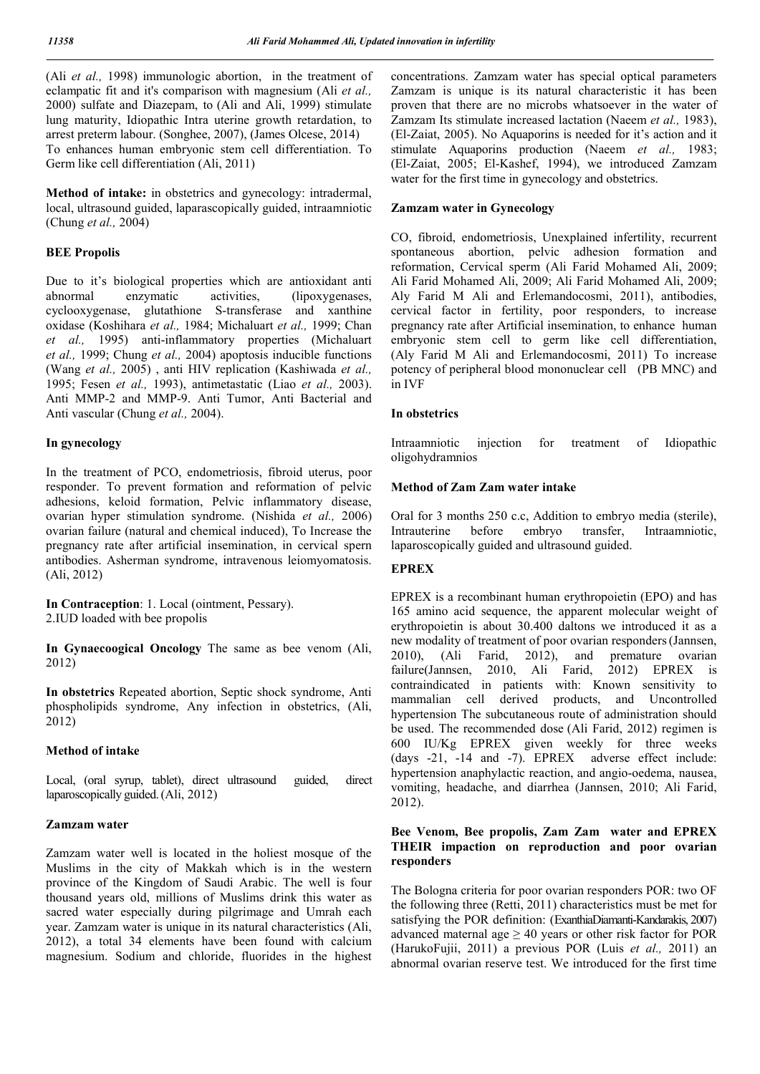(Ali *et al.,* 1998) immunologic abortion, in the treatment of eclampatic fit and it's comparison with magnesium (Ali *et al.,*  2000) sulfate and Diazepam, to (Ali and Ali, 1999) stimulate lung maturity, Idiopathic Intra uterine growth retardation, to arrest preterm labour. (Songhee, 2007), (James Olcese, 2014) To enhances human embryonic stem cell differentiation. To Germ like cell differentiation (Ali, 2011)

**Method of intake:** in obstetrics and gynecology: intradermal, local, ultrasound guided, laparascopically guided, intraamniotic (Chung *et al.,* 2004)

## **BEE Propolis**

Due to it's biological properties which are antioxidant anti abnormal enzymatic activities, (lipoxygenases, cyclooxygenase, glutathione S-transferase and xanthine oxidase (Koshihara *et al.,* 1984; Michaluart *et al.,* 1999; Chan *et al.,* 1995) anti-inflammatory properties (Michaluart *et al.,* 1999; Chung *et al.,* 2004) apoptosis inducible functions (Wang *et al.,* 2005) , anti HIV replication (Kashiwada *et al.,* 1995; Fesen *et al.,* 1993), antimetastatic (Liao *et al.,* 2003). Anti MMP-2 and MMP-9. Anti Tumor, Anti Bacterial and Anti vascular (Chung *et al.,* 2004).

## **In gynecology**

In the treatment of PCO, endometriosis, fibroid uterus, poor responder. To prevent formation and reformation of pelvic adhesions, keloid formation, Pelvic inflammatory disease, ovarian hyper stimulation syndrome. (Nishida *et al.,* 2006) ovarian failure (natural and chemical induced), To Increase the pregnancy rate after artificial insemination, in cervical spern antibodies. Asherman syndrome, intravenous leiomyomatosis. (Ali, 2012)

**In Contraception**: 1. Local (ointment, Pessary). 2.IUD loaded with bee propolis

**In Gynaecoogical Oncology** The same as bee venom (Ali, 2012)

**In obstetrics** Repeated abortion, Septic shock syndrome, Anti phospholipids syndrome, Any infection in obstetrics, (Ali, 2012)

## **Method of intake**

Local, (oral syrup, tablet), direct ultrasound guided, direct laparoscopically guided.(Ali, 2012)

## **Zamzam water**

Zamzam water well is located in the holiest mosque of the Muslims in the city of Makkah which is in the western province of the Kingdom of Saudi Arabic. The well is four thousand years old, millions of Muslims drink this water as sacred water especially during pilgrimage and Umrah each year. Zamzam water is unique in its natural characteristics (Ali, 2012), a total 34 elements have been found with calcium magnesium. Sodium and chloride, fluorides in the highest concentrations. Zamzam water has special optical parameters Zamzam is unique is its natural characteristic it has been proven that there are no microbs whatsoever in the water of Zamzam Its stimulate increased lactation (Naeem *et al.,* 1983), (El-Zaiat, 2005). No Aquaporins is needed for it's action and it stimulate Aquaporins production (Naeem *et al.,* 1983; (El-Zaiat, 2005; El-Kashef, 1994), we introduced Zamzam water for the first time in gynecology and obstetrics.

## **Zamzam water in Gynecology**

CO, fibroid, endometriosis, Unexplained infertility, recurrent spontaneous abortion, pelvic adhesion formation and reformation, Cervical sperm (Ali Farid Mohamed Ali, 2009; Ali Farid Mohamed Ali, 2009; Ali Farid Mohamed Ali, 2009; Aly Farid M Ali and Erlemandocosmi, 2011), antibodies, cervical factor in fertility, poor responders, to increase pregnancy rate after Artificial insemination, to enhance human embryonic stem cell to germ like cell differentiation, (Aly Farid M Ali and Erlemandocosmi, 2011) To increase potency of peripheral blood mononuclear cell (PB MNC) and in IVF

## **In obstetrics**

Intraamniotic injection for treatment of Idiopathic oligohydramnios

## **Method of Zam Zam water intake**

Oral for 3 months 250 c.c, Addition to embryo media (sterile), Intrauterine before embryo transfer, Intraamniotic, laparoscopically guided and ultrasound guided.

## **EPREX**

EPREX is a recombinant human erythropoietin (EPO) and has 165 amino acid sequence, the apparent molecular weight of erythropoietin is about 30.400 daltons we introduced it as a new modality of treatment of poor ovarian responders(Jannsen, 2010), (Ali Farid, 2012), and premature ovarian failure(Jannsen, 2010, Ali Farid, 2012) EPREX is contraindicated in patients with: Known sensitivity to mammalian cell derived products, and Uncontrolled hypertension The subcutaneous route of administration should be used. The recommended dose (Ali Farid, 2012) regimen is 600 IU/Kg EPREX given weekly for three weeks (days -21, -14 and -7). EPREX adverse effect include: hypertension anaphylactic reaction, and angio-oedema, nausea, vomiting, headache, and diarrhea (Jannsen, 2010; Ali Farid, 2012).

## **Bee Venom, Bee propolis, Zam Zam water and EPREX THEIR impaction on reproduction and poor ovarian responders**

The Bologna criteria for poor ovarian responders POR: two OF the following three (Retti, 2011) characteristics must be met for satisfying the POR definition: (ExanthiaDiamanti-Kandarakis, 2007) advanced maternal age  $\geq 40$  years or other risk factor for POR (HarukoFujii, 2011) a previous POR (Luis *et al.,* 2011) an abnormal ovarian reserve test. We introduced for the first time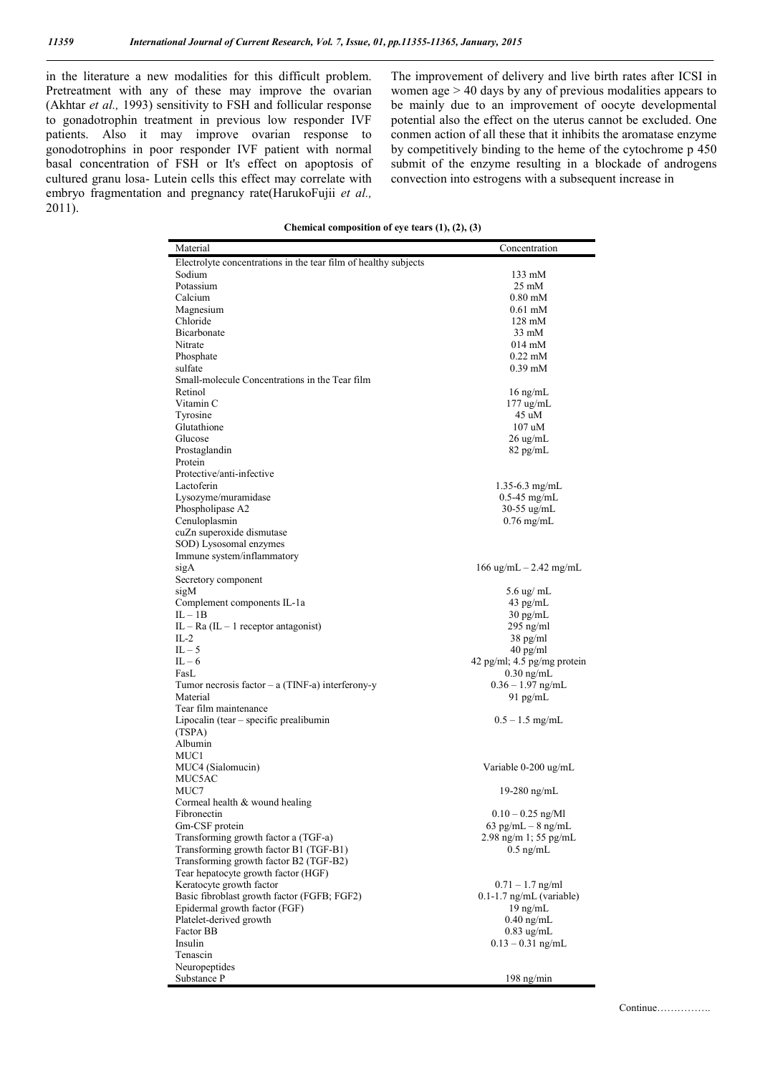in the literature a new modalities for this difficult problem. Pretreatment with any of these may improve the ovarian (Akhtar *et al.,* 1993) sensitivity to FSH and follicular response to gonadotrophin treatment in previous low responder IVF patients. Also it may improve ovarian response to gonodotrophins in poor responder IVF patient with normal basal concentration of FSH or It's effect on apoptosis of cultured granu losa- Lutein cells this effect may correlate with embryo fragmentation and pregnancy rate(HarukoFujii *et al.,* 2011).

The improvement of delivery and live birth rates after ICSI in women age > 40 days by any of previous modalities appears to be mainly due to an improvement of oocyte developmental potential also the effect on the uterus cannot be excluded. One conmen action of all these that it inhibits the aromatase enzyme by competitively binding to the heme of the cytochrome p 450 submit of the enzyme resulting in a blockade of androgens convection into estrogens with a subsequent increase in

**Chemical composition of eye tears (1), (2), (3)**

| Electrolyte concentrations in the tear film of healthy subjects<br>Sodium<br>133 mM<br>Potassium<br>$25 \text{ mM}$<br>Calcium<br>$0.80 \text{ }\mathrm{mM}$<br>Magnesium<br>0.61 mM<br>Chloride<br>128 mM<br>Bicarbonate<br>$33 \text{ mM}$<br>Nitrate<br>014 mM<br>$0.22$ mM<br>Phosphate<br>$0.39$ mM<br>sulfate<br>Small-molecule Concentrations in the Tear film<br>Retinol<br>$16$ ng/mL<br>Vitamin C<br>$177$ ug/mL<br>Tyrosine<br>45 uM<br>Glutathione<br>$107$ uM<br>Glucose<br>$26 \text{ ug/mL}$<br>Prostaglandin<br>$82$ pg/mL<br>Protein<br>Protective/anti-infective<br>Lactoferin<br>$1.35 - 6.3$ mg/mL<br>Lysozyme/muramidase<br>$0.5-45$ mg/mL<br>Phospholipase A2<br>$30-55$ ug/mL<br>Cenuloplasmin<br>$0.76$ mg/mL<br>cuZn superoxide dismutase<br>SOD) Lysosomal enzymes<br>Immune system/inflammatory<br>sigA<br>$166 \text{ ug/mL} - 2.42 \text{ mg/mL}$<br>Secretory component<br>sigM<br>5.6 ug/ mL<br>Complement components IL-1a<br>$43$ pg/mL<br>$IL - IB$<br>$30 \text{ pg/mL}$<br>IL – Ra (IL – 1 receptor antagonist)<br>$295$ ng/ml<br>$IL-2$<br>$38$ pg/ml<br>$IL - 5$<br>40 pg/ml<br>$IL - 6$<br>42 pg/ml; 4.5 pg/mg protein<br>FasL<br>$0.30$ ng/mL<br>Tumor necrosis factor $- a$ (TINF-a) interferony-y<br>$0.36 - 1.97$ ng/mL<br>Material<br>$91$ pg/mL<br>Tear film maintenance<br>Lipocalin (tear – specific prealibumin<br>$0.5 - 1.5$ mg/mL<br>(TSPA)<br>Albumin<br>MUC1<br>MUC4 (Sialomucin)<br>Variable 0-200 ug/mL<br>MUC5AC<br>MUC7<br>19-280 ng/mL<br>Cormeal health & wound healing<br>Fibronectin<br>$0.10 - 0.25$ ng/Ml<br>Gm-CSF protein<br>$63$ pg/mL $-$ 8 ng/mL<br>Transforming growth factor a (TGF-a)<br>$2.98$ ng/m 1; 55 pg/mL<br>Transforming growth factor B1 (TGF-B1)<br>$0.5$ ng/mL<br>Transforming growth factor B2 (TGF-B2)<br>Tear hepatocyte growth factor (HGF)<br>Keratocyte growth factor<br>$0.71 - 1.7$ ng/ml<br>Basic fibroblast growth factor (FGFB; FGF2)<br>$0.1 - 1.7$ ng/mL (variable)<br>Epidermal growth factor (FGF)<br>$19 \text{ ng/mL}$<br>Platelet-derived growth<br>$0.40$ ng/mL<br>Factor BB<br>$0.83$ ug/mL<br>Insulin<br>$0.13 - 0.31$ ng/mL<br>Tenascin | Material      | Concentration |
|-------------------------------------------------------------------------------------------------------------------------------------------------------------------------------------------------------------------------------------------------------------------------------------------------------------------------------------------------------------------------------------------------------------------------------------------------------------------------------------------------------------------------------------------------------------------------------------------------------------------------------------------------------------------------------------------------------------------------------------------------------------------------------------------------------------------------------------------------------------------------------------------------------------------------------------------------------------------------------------------------------------------------------------------------------------------------------------------------------------------------------------------------------------------------------------------------------------------------------------------------------------------------------------------------------------------------------------------------------------------------------------------------------------------------------------------------------------------------------------------------------------------------------------------------------------------------------------------------------------------------------------------------------------------------------------------------------------------------------------------------------------------------------------------------------------------------------------------------------------------------------------------------------------------------------------------------------------------------------------------------------------------------------------------------------------------------------------------------------------------------------------------------|---------------|---------------|
|                                                                                                                                                                                                                                                                                                                                                                                                                                                                                                                                                                                                                                                                                                                                                                                                                                                                                                                                                                                                                                                                                                                                                                                                                                                                                                                                                                                                                                                                                                                                                                                                                                                                                                                                                                                                                                                                                                                                                                                                                                                                                                                                                 |               |               |
|                                                                                                                                                                                                                                                                                                                                                                                                                                                                                                                                                                                                                                                                                                                                                                                                                                                                                                                                                                                                                                                                                                                                                                                                                                                                                                                                                                                                                                                                                                                                                                                                                                                                                                                                                                                                                                                                                                                                                                                                                                                                                                                                                 |               |               |
|                                                                                                                                                                                                                                                                                                                                                                                                                                                                                                                                                                                                                                                                                                                                                                                                                                                                                                                                                                                                                                                                                                                                                                                                                                                                                                                                                                                                                                                                                                                                                                                                                                                                                                                                                                                                                                                                                                                                                                                                                                                                                                                                                 |               |               |
|                                                                                                                                                                                                                                                                                                                                                                                                                                                                                                                                                                                                                                                                                                                                                                                                                                                                                                                                                                                                                                                                                                                                                                                                                                                                                                                                                                                                                                                                                                                                                                                                                                                                                                                                                                                                                                                                                                                                                                                                                                                                                                                                                 |               |               |
|                                                                                                                                                                                                                                                                                                                                                                                                                                                                                                                                                                                                                                                                                                                                                                                                                                                                                                                                                                                                                                                                                                                                                                                                                                                                                                                                                                                                                                                                                                                                                                                                                                                                                                                                                                                                                                                                                                                                                                                                                                                                                                                                                 |               |               |
|                                                                                                                                                                                                                                                                                                                                                                                                                                                                                                                                                                                                                                                                                                                                                                                                                                                                                                                                                                                                                                                                                                                                                                                                                                                                                                                                                                                                                                                                                                                                                                                                                                                                                                                                                                                                                                                                                                                                                                                                                                                                                                                                                 |               |               |
|                                                                                                                                                                                                                                                                                                                                                                                                                                                                                                                                                                                                                                                                                                                                                                                                                                                                                                                                                                                                                                                                                                                                                                                                                                                                                                                                                                                                                                                                                                                                                                                                                                                                                                                                                                                                                                                                                                                                                                                                                                                                                                                                                 |               |               |
|                                                                                                                                                                                                                                                                                                                                                                                                                                                                                                                                                                                                                                                                                                                                                                                                                                                                                                                                                                                                                                                                                                                                                                                                                                                                                                                                                                                                                                                                                                                                                                                                                                                                                                                                                                                                                                                                                                                                                                                                                                                                                                                                                 |               |               |
|                                                                                                                                                                                                                                                                                                                                                                                                                                                                                                                                                                                                                                                                                                                                                                                                                                                                                                                                                                                                                                                                                                                                                                                                                                                                                                                                                                                                                                                                                                                                                                                                                                                                                                                                                                                                                                                                                                                                                                                                                                                                                                                                                 |               |               |
|                                                                                                                                                                                                                                                                                                                                                                                                                                                                                                                                                                                                                                                                                                                                                                                                                                                                                                                                                                                                                                                                                                                                                                                                                                                                                                                                                                                                                                                                                                                                                                                                                                                                                                                                                                                                                                                                                                                                                                                                                                                                                                                                                 |               |               |
|                                                                                                                                                                                                                                                                                                                                                                                                                                                                                                                                                                                                                                                                                                                                                                                                                                                                                                                                                                                                                                                                                                                                                                                                                                                                                                                                                                                                                                                                                                                                                                                                                                                                                                                                                                                                                                                                                                                                                                                                                                                                                                                                                 |               |               |
|                                                                                                                                                                                                                                                                                                                                                                                                                                                                                                                                                                                                                                                                                                                                                                                                                                                                                                                                                                                                                                                                                                                                                                                                                                                                                                                                                                                                                                                                                                                                                                                                                                                                                                                                                                                                                                                                                                                                                                                                                                                                                                                                                 |               |               |
|                                                                                                                                                                                                                                                                                                                                                                                                                                                                                                                                                                                                                                                                                                                                                                                                                                                                                                                                                                                                                                                                                                                                                                                                                                                                                                                                                                                                                                                                                                                                                                                                                                                                                                                                                                                                                                                                                                                                                                                                                                                                                                                                                 |               |               |
|                                                                                                                                                                                                                                                                                                                                                                                                                                                                                                                                                                                                                                                                                                                                                                                                                                                                                                                                                                                                                                                                                                                                                                                                                                                                                                                                                                                                                                                                                                                                                                                                                                                                                                                                                                                                                                                                                                                                                                                                                                                                                                                                                 |               |               |
|                                                                                                                                                                                                                                                                                                                                                                                                                                                                                                                                                                                                                                                                                                                                                                                                                                                                                                                                                                                                                                                                                                                                                                                                                                                                                                                                                                                                                                                                                                                                                                                                                                                                                                                                                                                                                                                                                                                                                                                                                                                                                                                                                 |               |               |
|                                                                                                                                                                                                                                                                                                                                                                                                                                                                                                                                                                                                                                                                                                                                                                                                                                                                                                                                                                                                                                                                                                                                                                                                                                                                                                                                                                                                                                                                                                                                                                                                                                                                                                                                                                                                                                                                                                                                                                                                                                                                                                                                                 |               |               |
|                                                                                                                                                                                                                                                                                                                                                                                                                                                                                                                                                                                                                                                                                                                                                                                                                                                                                                                                                                                                                                                                                                                                                                                                                                                                                                                                                                                                                                                                                                                                                                                                                                                                                                                                                                                                                                                                                                                                                                                                                                                                                                                                                 |               |               |
|                                                                                                                                                                                                                                                                                                                                                                                                                                                                                                                                                                                                                                                                                                                                                                                                                                                                                                                                                                                                                                                                                                                                                                                                                                                                                                                                                                                                                                                                                                                                                                                                                                                                                                                                                                                                                                                                                                                                                                                                                                                                                                                                                 |               |               |
|                                                                                                                                                                                                                                                                                                                                                                                                                                                                                                                                                                                                                                                                                                                                                                                                                                                                                                                                                                                                                                                                                                                                                                                                                                                                                                                                                                                                                                                                                                                                                                                                                                                                                                                                                                                                                                                                                                                                                                                                                                                                                                                                                 |               |               |
|                                                                                                                                                                                                                                                                                                                                                                                                                                                                                                                                                                                                                                                                                                                                                                                                                                                                                                                                                                                                                                                                                                                                                                                                                                                                                                                                                                                                                                                                                                                                                                                                                                                                                                                                                                                                                                                                                                                                                                                                                                                                                                                                                 |               |               |
|                                                                                                                                                                                                                                                                                                                                                                                                                                                                                                                                                                                                                                                                                                                                                                                                                                                                                                                                                                                                                                                                                                                                                                                                                                                                                                                                                                                                                                                                                                                                                                                                                                                                                                                                                                                                                                                                                                                                                                                                                                                                                                                                                 |               |               |
|                                                                                                                                                                                                                                                                                                                                                                                                                                                                                                                                                                                                                                                                                                                                                                                                                                                                                                                                                                                                                                                                                                                                                                                                                                                                                                                                                                                                                                                                                                                                                                                                                                                                                                                                                                                                                                                                                                                                                                                                                                                                                                                                                 |               |               |
|                                                                                                                                                                                                                                                                                                                                                                                                                                                                                                                                                                                                                                                                                                                                                                                                                                                                                                                                                                                                                                                                                                                                                                                                                                                                                                                                                                                                                                                                                                                                                                                                                                                                                                                                                                                                                                                                                                                                                                                                                                                                                                                                                 |               |               |
|                                                                                                                                                                                                                                                                                                                                                                                                                                                                                                                                                                                                                                                                                                                                                                                                                                                                                                                                                                                                                                                                                                                                                                                                                                                                                                                                                                                                                                                                                                                                                                                                                                                                                                                                                                                                                                                                                                                                                                                                                                                                                                                                                 |               |               |
|                                                                                                                                                                                                                                                                                                                                                                                                                                                                                                                                                                                                                                                                                                                                                                                                                                                                                                                                                                                                                                                                                                                                                                                                                                                                                                                                                                                                                                                                                                                                                                                                                                                                                                                                                                                                                                                                                                                                                                                                                                                                                                                                                 |               |               |
|                                                                                                                                                                                                                                                                                                                                                                                                                                                                                                                                                                                                                                                                                                                                                                                                                                                                                                                                                                                                                                                                                                                                                                                                                                                                                                                                                                                                                                                                                                                                                                                                                                                                                                                                                                                                                                                                                                                                                                                                                                                                                                                                                 |               |               |
|                                                                                                                                                                                                                                                                                                                                                                                                                                                                                                                                                                                                                                                                                                                                                                                                                                                                                                                                                                                                                                                                                                                                                                                                                                                                                                                                                                                                                                                                                                                                                                                                                                                                                                                                                                                                                                                                                                                                                                                                                                                                                                                                                 |               |               |
|                                                                                                                                                                                                                                                                                                                                                                                                                                                                                                                                                                                                                                                                                                                                                                                                                                                                                                                                                                                                                                                                                                                                                                                                                                                                                                                                                                                                                                                                                                                                                                                                                                                                                                                                                                                                                                                                                                                                                                                                                                                                                                                                                 |               |               |
|                                                                                                                                                                                                                                                                                                                                                                                                                                                                                                                                                                                                                                                                                                                                                                                                                                                                                                                                                                                                                                                                                                                                                                                                                                                                                                                                                                                                                                                                                                                                                                                                                                                                                                                                                                                                                                                                                                                                                                                                                                                                                                                                                 |               |               |
|                                                                                                                                                                                                                                                                                                                                                                                                                                                                                                                                                                                                                                                                                                                                                                                                                                                                                                                                                                                                                                                                                                                                                                                                                                                                                                                                                                                                                                                                                                                                                                                                                                                                                                                                                                                                                                                                                                                                                                                                                                                                                                                                                 |               |               |
|                                                                                                                                                                                                                                                                                                                                                                                                                                                                                                                                                                                                                                                                                                                                                                                                                                                                                                                                                                                                                                                                                                                                                                                                                                                                                                                                                                                                                                                                                                                                                                                                                                                                                                                                                                                                                                                                                                                                                                                                                                                                                                                                                 |               |               |
|                                                                                                                                                                                                                                                                                                                                                                                                                                                                                                                                                                                                                                                                                                                                                                                                                                                                                                                                                                                                                                                                                                                                                                                                                                                                                                                                                                                                                                                                                                                                                                                                                                                                                                                                                                                                                                                                                                                                                                                                                                                                                                                                                 |               |               |
|                                                                                                                                                                                                                                                                                                                                                                                                                                                                                                                                                                                                                                                                                                                                                                                                                                                                                                                                                                                                                                                                                                                                                                                                                                                                                                                                                                                                                                                                                                                                                                                                                                                                                                                                                                                                                                                                                                                                                                                                                                                                                                                                                 |               |               |
|                                                                                                                                                                                                                                                                                                                                                                                                                                                                                                                                                                                                                                                                                                                                                                                                                                                                                                                                                                                                                                                                                                                                                                                                                                                                                                                                                                                                                                                                                                                                                                                                                                                                                                                                                                                                                                                                                                                                                                                                                                                                                                                                                 |               |               |
|                                                                                                                                                                                                                                                                                                                                                                                                                                                                                                                                                                                                                                                                                                                                                                                                                                                                                                                                                                                                                                                                                                                                                                                                                                                                                                                                                                                                                                                                                                                                                                                                                                                                                                                                                                                                                                                                                                                                                                                                                                                                                                                                                 |               |               |
|                                                                                                                                                                                                                                                                                                                                                                                                                                                                                                                                                                                                                                                                                                                                                                                                                                                                                                                                                                                                                                                                                                                                                                                                                                                                                                                                                                                                                                                                                                                                                                                                                                                                                                                                                                                                                                                                                                                                                                                                                                                                                                                                                 |               |               |
|                                                                                                                                                                                                                                                                                                                                                                                                                                                                                                                                                                                                                                                                                                                                                                                                                                                                                                                                                                                                                                                                                                                                                                                                                                                                                                                                                                                                                                                                                                                                                                                                                                                                                                                                                                                                                                                                                                                                                                                                                                                                                                                                                 |               |               |
|                                                                                                                                                                                                                                                                                                                                                                                                                                                                                                                                                                                                                                                                                                                                                                                                                                                                                                                                                                                                                                                                                                                                                                                                                                                                                                                                                                                                                                                                                                                                                                                                                                                                                                                                                                                                                                                                                                                                                                                                                                                                                                                                                 |               |               |
|                                                                                                                                                                                                                                                                                                                                                                                                                                                                                                                                                                                                                                                                                                                                                                                                                                                                                                                                                                                                                                                                                                                                                                                                                                                                                                                                                                                                                                                                                                                                                                                                                                                                                                                                                                                                                                                                                                                                                                                                                                                                                                                                                 |               |               |
|                                                                                                                                                                                                                                                                                                                                                                                                                                                                                                                                                                                                                                                                                                                                                                                                                                                                                                                                                                                                                                                                                                                                                                                                                                                                                                                                                                                                                                                                                                                                                                                                                                                                                                                                                                                                                                                                                                                                                                                                                                                                                                                                                 |               |               |
|                                                                                                                                                                                                                                                                                                                                                                                                                                                                                                                                                                                                                                                                                                                                                                                                                                                                                                                                                                                                                                                                                                                                                                                                                                                                                                                                                                                                                                                                                                                                                                                                                                                                                                                                                                                                                                                                                                                                                                                                                                                                                                                                                 |               |               |
|                                                                                                                                                                                                                                                                                                                                                                                                                                                                                                                                                                                                                                                                                                                                                                                                                                                                                                                                                                                                                                                                                                                                                                                                                                                                                                                                                                                                                                                                                                                                                                                                                                                                                                                                                                                                                                                                                                                                                                                                                                                                                                                                                 |               |               |
|                                                                                                                                                                                                                                                                                                                                                                                                                                                                                                                                                                                                                                                                                                                                                                                                                                                                                                                                                                                                                                                                                                                                                                                                                                                                                                                                                                                                                                                                                                                                                                                                                                                                                                                                                                                                                                                                                                                                                                                                                                                                                                                                                 |               |               |
|                                                                                                                                                                                                                                                                                                                                                                                                                                                                                                                                                                                                                                                                                                                                                                                                                                                                                                                                                                                                                                                                                                                                                                                                                                                                                                                                                                                                                                                                                                                                                                                                                                                                                                                                                                                                                                                                                                                                                                                                                                                                                                                                                 |               |               |
|                                                                                                                                                                                                                                                                                                                                                                                                                                                                                                                                                                                                                                                                                                                                                                                                                                                                                                                                                                                                                                                                                                                                                                                                                                                                                                                                                                                                                                                                                                                                                                                                                                                                                                                                                                                                                                                                                                                                                                                                                                                                                                                                                 |               |               |
|                                                                                                                                                                                                                                                                                                                                                                                                                                                                                                                                                                                                                                                                                                                                                                                                                                                                                                                                                                                                                                                                                                                                                                                                                                                                                                                                                                                                                                                                                                                                                                                                                                                                                                                                                                                                                                                                                                                                                                                                                                                                                                                                                 |               |               |
|                                                                                                                                                                                                                                                                                                                                                                                                                                                                                                                                                                                                                                                                                                                                                                                                                                                                                                                                                                                                                                                                                                                                                                                                                                                                                                                                                                                                                                                                                                                                                                                                                                                                                                                                                                                                                                                                                                                                                                                                                                                                                                                                                 |               |               |
|                                                                                                                                                                                                                                                                                                                                                                                                                                                                                                                                                                                                                                                                                                                                                                                                                                                                                                                                                                                                                                                                                                                                                                                                                                                                                                                                                                                                                                                                                                                                                                                                                                                                                                                                                                                                                                                                                                                                                                                                                                                                                                                                                 |               |               |
|                                                                                                                                                                                                                                                                                                                                                                                                                                                                                                                                                                                                                                                                                                                                                                                                                                                                                                                                                                                                                                                                                                                                                                                                                                                                                                                                                                                                                                                                                                                                                                                                                                                                                                                                                                                                                                                                                                                                                                                                                                                                                                                                                 |               |               |
|                                                                                                                                                                                                                                                                                                                                                                                                                                                                                                                                                                                                                                                                                                                                                                                                                                                                                                                                                                                                                                                                                                                                                                                                                                                                                                                                                                                                                                                                                                                                                                                                                                                                                                                                                                                                                                                                                                                                                                                                                                                                                                                                                 |               |               |
|                                                                                                                                                                                                                                                                                                                                                                                                                                                                                                                                                                                                                                                                                                                                                                                                                                                                                                                                                                                                                                                                                                                                                                                                                                                                                                                                                                                                                                                                                                                                                                                                                                                                                                                                                                                                                                                                                                                                                                                                                                                                                                                                                 |               |               |
|                                                                                                                                                                                                                                                                                                                                                                                                                                                                                                                                                                                                                                                                                                                                                                                                                                                                                                                                                                                                                                                                                                                                                                                                                                                                                                                                                                                                                                                                                                                                                                                                                                                                                                                                                                                                                                                                                                                                                                                                                                                                                                                                                 |               |               |
|                                                                                                                                                                                                                                                                                                                                                                                                                                                                                                                                                                                                                                                                                                                                                                                                                                                                                                                                                                                                                                                                                                                                                                                                                                                                                                                                                                                                                                                                                                                                                                                                                                                                                                                                                                                                                                                                                                                                                                                                                                                                                                                                                 |               |               |
|                                                                                                                                                                                                                                                                                                                                                                                                                                                                                                                                                                                                                                                                                                                                                                                                                                                                                                                                                                                                                                                                                                                                                                                                                                                                                                                                                                                                                                                                                                                                                                                                                                                                                                                                                                                                                                                                                                                                                                                                                                                                                                                                                 |               |               |
|                                                                                                                                                                                                                                                                                                                                                                                                                                                                                                                                                                                                                                                                                                                                                                                                                                                                                                                                                                                                                                                                                                                                                                                                                                                                                                                                                                                                                                                                                                                                                                                                                                                                                                                                                                                                                                                                                                                                                                                                                                                                                                                                                 |               |               |
|                                                                                                                                                                                                                                                                                                                                                                                                                                                                                                                                                                                                                                                                                                                                                                                                                                                                                                                                                                                                                                                                                                                                                                                                                                                                                                                                                                                                                                                                                                                                                                                                                                                                                                                                                                                                                                                                                                                                                                                                                                                                                                                                                 |               |               |
|                                                                                                                                                                                                                                                                                                                                                                                                                                                                                                                                                                                                                                                                                                                                                                                                                                                                                                                                                                                                                                                                                                                                                                                                                                                                                                                                                                                                                                                                                                                                                                                                                                                                                                                                                                                                                                                                                                                                                                                                                                                                                                                                                 |               |               |
|                                                                                                                                                                                                                                                                                                                                                                                                                                                                                                                                                                                                                                                                                                                                                                                                                                                                                                                                                                                                                                                                                                                                                                                                                                                                                                                                                                                                                                                                                                                                                                                                                                                                                                                                                                                                                                                                                                                                                                                                                                                                                                                                                 | Neuropeptides |               |
| Substance P<br>$198$ ng/min                                                                                                                                                                                                                                                                                                                                                                                                                                                                                                                                                                                                                                                                                                                                                                                                                                                                                                                                                                                                                                                                                                                                                                                                                                                                                                                                                                                                                                                                                                                                                                                                                                                                                                                                                                                                                                                                                                                                                                                                                                                                                                                     |               |               |

Continue…………….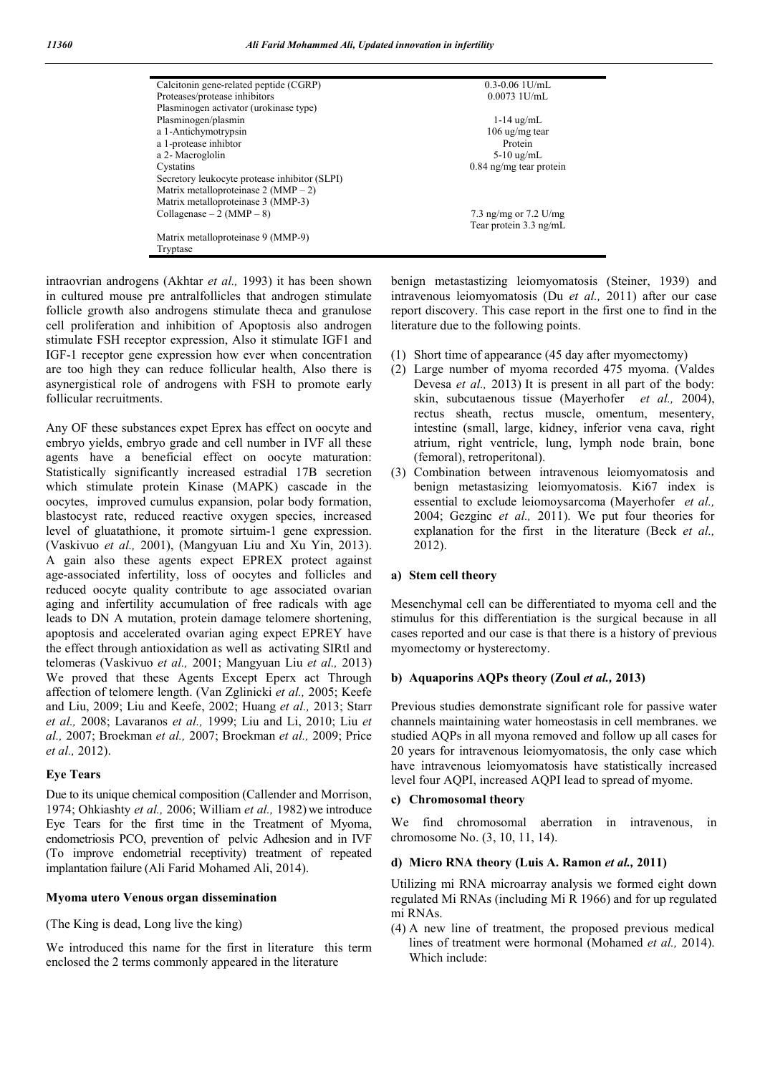| Calcitonin gene-related peptide (CGRP)        | $0.3 - 0.06$ 1U/mL        |
|-----------------------------------------------|---------------------------|
| Proteases/protease inhibitors                 | $0.0073$ 1U/mL            |
| Plasminogen activator (urokinase type)        |                           |
| Plasminogen/plasmin                           | $1-14$ ug/mL              |
| a 1-Antichymotrypsin                          | 106 ug/mg tear            |
| a 1-protease inhibtor                         | Protein                   |
| a 2- Macroglolin                              | $5-10$ ug/mL              |
| Cystatins                                     | $0.84$ ng/mg tear protein |
| Secretory leukocyte protease inhibitor (SLPI) |                           |
| Matrix metalloproteinase 2 (MMP $-$ 2)        |                           |
| Matrix metalloproteinase 3 (MMP-3)            |                           |
| Collagenase $-2$ (MMP $-8$ )                  | 7.3 ng/mg or 7.2 U/mg     |
|                                               | Tear protein 3.3 ng/mL    |
| Matrix metalloproteinase 9 (MMP-9)            |                           |
| Tryptase                                      |                           |

intraovrian androgens (Akhtar *et al.,* 1993) it has been shown in cultured mouse pre antralfollicles that androgen stimulate follicle growth also androgens stimulate theca and granulose cell proliferation and inhibition of Apoptosis also androgen stimulate FSH receptor expression, Also it stimulate IGF1 and IGF-1 receptor gene expression how ever when concentration are too high they can reduce follicular health, Also there is asynergistical role of androgens with FSH to promote early follicular recruitments.

Any OF these substances expet Eprex has effect on oocyte and embryo yields, embryo grade and cell number in IVF all these agents have a beneficial effect on oocyte maturation: Statistically significantly increased estradial 17B secretion which stimulate protein Kinase (MAPK) cascade in the oocytes, improved cumulus expansion, polar body formation, blastocyst rate, reduced reactive oxygen species, increased level of gluatathione, it promote sirtuim-1 gene expression. (Vaskivuo *et al.,* 2001), (Mangyuan Liu and Xu Yin, 2013). A gain also these agents expect EPREX protect against age-associated infertility, loss of oocytes and follicles and reduced oocyte quality contribute to age associated ovarian aging and infertility accumulation of free radicals with age leads to DN A mutation, protein damage telomere shortening, apoptosis and accelerated ovarian aging expect EPREY have the effect through antioxidation as well as activating SIRtl and telomeras (Vaskivuo *et al.,* 2001; Mangyuan Liu *et al.,* 2013) We proved that these Agents Except Eperx act Through affection of telomere length. (Van Zglinicki *et al.,* 2005; Keefe and Liu, 2009; Liu and Keefe, 2002; Huang *et al.,* 2013; Starr *et al.,* 2008; Lavaranos *et al.,* 1999; Liu and Li, 2010; Liu *et al.,* 2007; Broekman *et al.,* 2007; Broekman *et al.,* 2009; Price *et al.,* 2012).

## **Eye Tears**

Due to its unique chemical composition (Callender and Morrison, 1974; Ohkiashty *et al.,* 2006; William *et al.,* 1982) we introduce Eye Tears for the first time in the Treatment of Myoma, endometriosis PCO, prevention of pelvic Adhesion and in IVF (To improve endometrial receptivity) treatment of repeated implantation failure (Ali Farid Mohamed Ali, 2014).

## **Myoma utero Venous organ dissemination**

(The King is dead, Long live the king)

We introduced this name for the first in literature this term enclosed the 2 terms commonly appeared in the literature

benign metastastizing leiomyomatosis (Steiner, 1939) and intravenous leiomyomatosis (Du *et al.,* 2011) after our case report discovery. This case report in the first one to find in the literature due to the following points.

- (1) Short time of appearance (45 day after myomectomy)
- (2) Large number of myoma recorded 475 myoma. (Valdes Devesa *et al.,* 2013) It is present in all part of the body: skin, subcutaenous tissue (Mayerhofer *et al.,* 2004), rectus sheath, rectus muscle, omentum, mesentery, intestine (small, large, kidney, inferior vena cava, right atrium, right ventricle, lung, lymph node brain, bone (femoral), retroperitonal).
- (3) Combination between intravenous leiomyomatosis and benign metastasizing leiomyomatosis. Ki67 index is essential to exclude leiomoysarcoma (Mayerhofer *et al.,* 2004; Gezginc *et al.,* 2011). We put four theories for explanation for the first in the literature (Beck *et al.,* 2012).

## **a) Stem cell theory**

Mesenchymal cell can be differentiated to myoma cell and the stimulus for this differentiation is the surgical because in all cases reported and our case is that there is a history of previous myomectomy or hysterectomy.

## **b) Aquaporins AQPs theory (Zoul** *et al.,* **2013)**

Previous studies demonstrate significant role for passive water channels maintaining water homeostasis in cell membranes. we studied AQPs in all myona removed and follow up all cases for 20 years for intravenous leiomyomatosis, the only case which have intravenous leiomyomatosis have statistically increased level four AQPI, increased AQPI lead to spread of myome.

## **c) Chromosomal theory**

We find chromosomal aberration in intravenous, in chromosome No. (3, 10, 11, 14).

## **d) Micro RNA theory (Luis A. Ramon** *et al.,* **2011)**

Utilizing mi RNA microarray analysis we formed eight down regulated Mi RNAs (including Mi R 1966) and for up regulated mi RNAs.

(4) A new line of treatment, the proposed previous medical lines of treatment were hormonal (Mohamed *et al.,* 2014). Which include: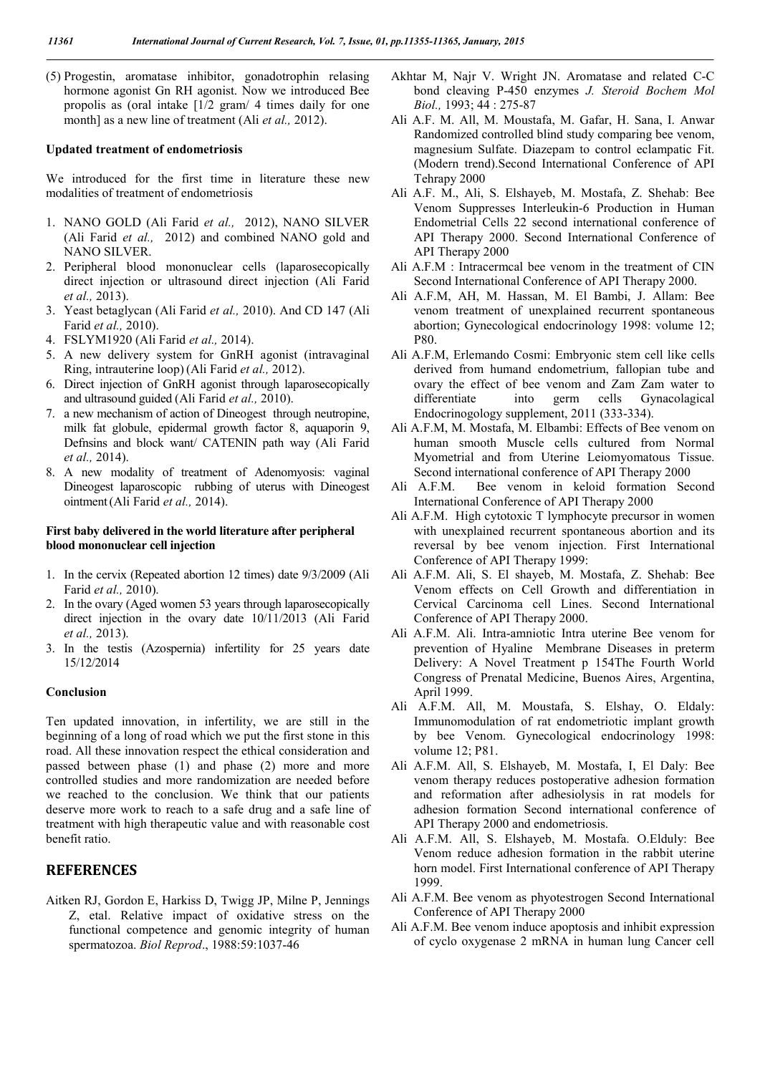(5) Progestin, aromatase inhibitor, gonadotrophin relasing hormone agonist Gn RH agonist. Now we introduced Bee propolis as (oral intake [1/2 gram/ 4 times daily for one month] as a new line of treatment (Ali *et al.,* 2012).

#### **Updated treatment of endometriosis**

We introduced for the first time in literature these new modalities of treatment of endometriosis

- 1. NANO GOLD (Ali Farid *et al.,* 2012), NANO SILVER (Ali Farid *et al.,* 2012) and combined NANO gold and NANO SILVER.
- 2. Peripheral blood mononuclear cells (laparosecopically direct injection or ultrasound direct injection (Ali Farid *et al.,* 2013).
- 3. Yeast betaglycan (Ali Farid *et al.,* 2010). And CD 147 (Ali Farid *et al.,* 2010).
- 4. FSLYM1920 (Ali Farid *et al.,* 2014).
- 5. A new delivery system for GnRH agonist (intravaginal Ring, intrauterine loop) (Ali Farid *et al.,* 2012).
- 6. Direct injection of GnRH agonist through laparosecopically and ultrasound guided (Ali Farid *et al.,* 2010).
- 7. a new mechanism of action of Dineogest through neutropine, milk fat globule, epidermal growth factor 8, aquaporin 9, Defnsins and block want/ CATENIN path way (Ali Farid *et al.,* 2014).
- 8. A new modality of treatment of Adenomyosis: vaginal Dineogest laparoscopic rubbing of uterus with Dineogest ointment(Ali Farid *et al.,* 2014).

## **First baby delivered in the world literature after peripheral blood mononuclear cell injection**

- 1. In the cervix (Repeated abortion 12 times) date 9/3/2009 (Ali Farid *et al.,* 2010).
- 2. In the ovary (Aged women 53 years through laparosecopically direct injection in the ovary date 10/11/2013 (Ali Farid *et al.,* 2013).
- 3. In the testis (Azospernia) infertility for 25 years date 15/12/2014

## **Conclusion**

Ten updated innovation, in infertility, we are still in the beginning of a long of road which we put the first stone in this road. All these innovation respect the ethical consideration and passed between phase (1) and phase (2) more and more controlled studies and more randomization are needed before we reached to the conclusion. We think that our patients deserve more work to reach to a safe drug and a safe line of treatment with high therapeutic value and with reasonable cost benefit ratio.

## **REFERENCES**

Aitken RJ, Gordon E, Harkiss D, Twigg JP, Milne P, Jennings Z, etal. Relative impact of oxidative stress on the functional competence and genomic integrity of human spermatozoa. *Biol Reprod*., 1988:59:1037-46

- Akhtar M, Najr V. Wright JN. Aromatase and related C-C bond cleaving P-450 enzymes *J. Steroid Bochem Mol Biol.,* 1993; 44 : 275-87
- Ali A.F. M. All, M. Moustafa, M. Gafar, H. Sana, I. Anwar Randomized controlled blind study comparing bee venom, magnesium Sulfate. Diazepam to control eclampatic Fit. (Modern trend).Second International Conference of API Tehrapy 2000
- Ali A.F. M., Ali, S. Elshayeb, M. Mostafa, Z. Shehab: Bee Venom Suppresses Interleukin-6 Production in Human Endometrial Cells 22 second international conference of API Therapy 2000. Second International Conference of API Therapy 2000
- Ali A.F.M : Intracermcal bee venom in the treatment of CIN Second International Conference of API Therapy 2000.
- Ali A.F.M, AH, M. Hassan, M. El Bambi, J. Allam: Bee venom treatment of unexplained recurrent spontaneous abortion; Gynecological endocrinology 1998: volume 12; P80.
- Ali A.F.M, Erlemando Cosmi: Embryonic stem cell like cells derived from humand endometrium, fallopian tube and ovary the effect of bee venom and Zam Zam water to differentiate into germ cells Gynacolagical Endocrinogology supplement, 2011 (333-334).
- Ali A.F.M, M. Mostafa, M. Elbambi: Effects of Bee venom on human smooth Muscle cells cultured from Normal Myometrial and from Uterine Leiomyomatous Tissue. Second international conference of API Therapy 2000
- Ali A.F.M. Bee venom in keloid formation Second International Conference of API Therapy 2000
- Ali A.F.M. High cytotoxic T lymphocyte precursor in women with unexplained recurrent spontaneous abortion and its reversal by bee venom injection. First International Conference of API Therapy 1999:
- Ali A.F.M. Ali, S. El shayeb, M. Mostafa, Z. Shehab: Bee Venom effects on Cell Growth and differentiation in Cervical Carcinoma cell Lines. Second International Conference of API Therapy 2000.
- Ali A.F.M. Ali. Intra-amniotic Intra uterine Bee venom for prevention of Hyaline Membrane Diseases in preterm Delivery: A Novel Treatment p 154The Fourth World Congress of Prenatal Medicine, Buenos Aires, Argentina, April 1999.
- Ali A.F.M. All, M. Moustafa, S. Elshay, O. Eldaly: Immunomodulation of rat endometriotic implant growth by bee Venom. Gynecological endocrinology 1998: volume 12; P81.
- Ali A.F.M. All, S. Elshayeb, M. Mostafa, I, El Daly: Bee venom therapy reduces postoperative adhesion formation and reformation after adhesiolysis in rat models for adhesion formation Second international conference of API Therapy 2000 and endometriosis.
- Ali A.F.M. All, S. Elshayeb, M. Mostafa. O.Elduly: Bee Venom reduce adhesion formation in the rabbit uterine horn model. First International conference of API Therapy 1999.
- Ali A.F.M. Bee venom as phyotestrogen Second International Conference of API Therapy 2000
- Ali A.F.M. Bee venom induce apoptosis and inhibit expression of cyclo oxygenase 2 mRNA in human lung Cancer cell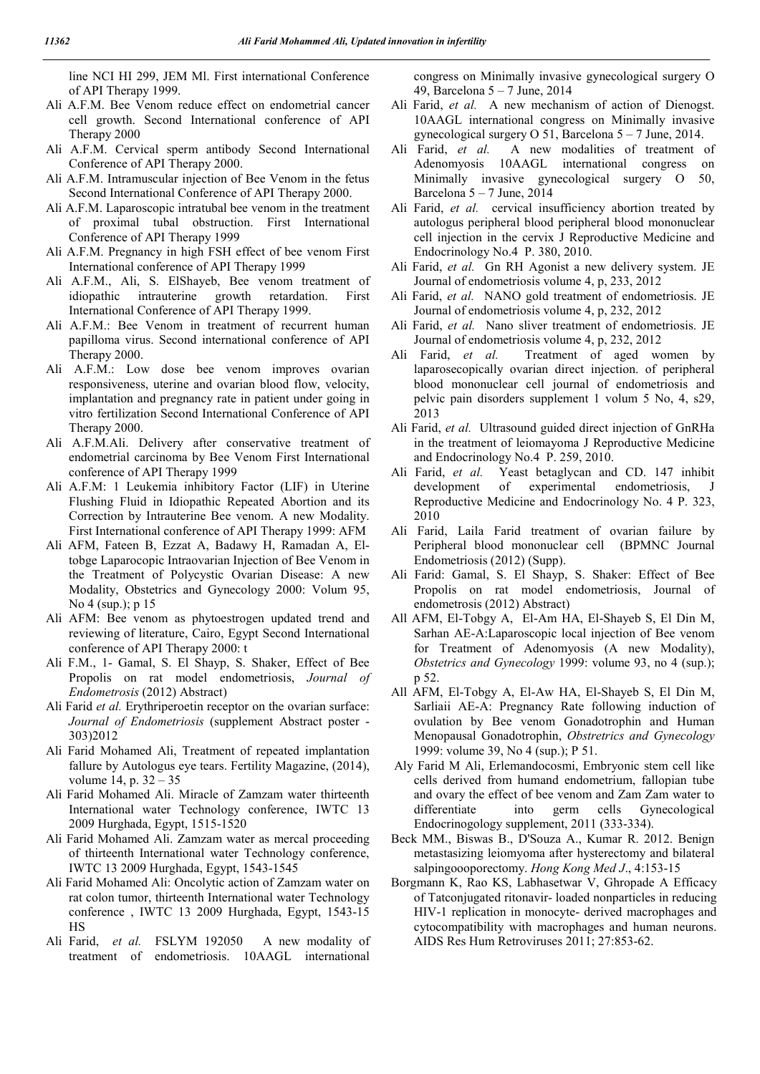line NCI HI 299, JEM Ml. First international Conference of API Therapy 1999.

- Ali A.F.M. Bee Venom reduce effect on endometrial cancer cell growth. Second International conference of API Therapy 2000
- Ali A.F.M. Cervical sperm antibody Second International Conference of API Therapy 2000.
- Ali A.F.M. Intramuscular injection of Bee Venom in the fetus Second International Conference of API Therapy 2000.
- Ali A.F.M. Laparoscopic intratubal bee venom in the treatment of proximal tubal obstruction. First International Conference of API Therapy 1999
- Ali A.F.M. Pregnancy in high FSH effect of bee venom First International conference of API Therapy 1999
- Ali A.F.M., Ali, S. ElShayeb, Bee venom treatment of idiopathic intrauterine growth retardation. First International Conference of API Therapy 1999.
- Ali A.F.M.: Bee Venom in treatment of recurrent human papilloma virus. Second international conference of API Therapy 2000.
- Ali A.F.M.: Low dose bee venom improves ovarian responsiveness, uterine and ovarian blood flow, velocity, implantation and pregnancy rate in patient under going in vitro fertilization Second International Conference of API Therapy 2000.
- Ali A.F.M.Ali. Delivery after conservative treatment of endometrial carcinoma by Bee Venom First International conference of API Therapy 1999
- Ali A.F.M: 1 Leukemia inhibitory Factor (LIF) in Uterine Flushing Fluid in Idiopathic Repeated Abortion and its Correction by Intrauterine Bee venom. A new Modality. First International conference of API Therapy 1999: AFM
- Ali AFM, Fateen B, Ezzat A, Badawy H, Ramadan A, Eltobge Laparocopic Intraovarian Injection of Bee Venom in the Treatment of Polycystic Ovarian Disease: A new Modality, Obstetrics and Gynecology 2000: Volum 95, No 4 (sup.); p 15
- Ali AFM: Bee venom as phytoestrogen updated trend and reviewing of literature, Cairo, Egypt Second International conference of API Therapy 2000: t
- Ali F.M., 1- Gamal, S. El Shayp, S. Shaker, Effect of Bee Propolis on rat model endometriosis, *Journal of Endometrosis* (2012) Abstract)
- Ali Farid *et al.* Erythriperoetin receptor on the ovarian surface: *Journal of Endometriosis* (supplement Abstract poster - 303)2012
- Ali Farid Mohamed Ali, Treatment of repeated implantation fallure by Autologus eye tears. Fertility Magazine, (2014), volume 14, p. 32 – 35
- Ali Farid Mohamed Ali. Miracle of Zamzam water thirteenth International water Technology conference, IWTC 13 2009 Hurghada, Egypt, 1515-1520
- Ali Farid Mohamed Ali. Zamzam water as mercal proceeding of thirteenth International water Technology conference, IWTC 13 2009 Hurghada, Egypt, 1543-1545
- Ali Farid Mohamed Ali: Oncolytic action of Zamzam water on rat colon tumor, thirteenth International water Technology conference , IWTC 13 2009 Hurghada, Egypt, 1543-15 HS
- Ali Farid, *et al.* FSLYM 192050 A new modality of treatment of endometriosis. 10AAGL international

congress on Minimally invasive gynecological surgery O 49, Barcelona 5 – 7 June, 2014

- Ali Farid, *et al.* A new mechanism of action of Dienogst. 10AAGL international congress on Minimally invasive gynecological surgery O 51, Barcelona 5 – 7 June, 2014.
- Ali Farid, *et al.* A new modalities of treatment of Adenomyosis 10AAGL international congress on Minimally invasive gynecological surgery O 50, Barcelona  $5 - 7$  June, 2014
- Ali Farid, et al. cervical insufficiency abortion treated by autologus peripheral blood peripheral blood mononuclear cell injection in the cervix J Reproductive Medicine and Endocrinology No.4 P. 380, 2010.
- Ali Farid, *et al.* Gn RH Agonist a new delivery system. JE Journal of endometriosis volume 4, p, 233, 2012
- Ali Farid, *et al.* NANO gold treatment of endometriosis. JE Journal of endometriosis volume 4, p, 232, 2012
- Ali Farid, *et al.* Nano sliver treatment of endometriosis. JE Journal of endometriosis volume 4, p, 232, 2012
- Ali Farid, *et al.* Treatment of aged women by laparosecopically ovarian direct injection. of peripheral blood mononuclear cell journal of endometriosis and pelvic pain disorders supplement 1 volum 5 No, 4, s29, 2013
- Ali Farid, *et al.* Ultrasound guided direct injection of GnRHa in the treatment of leiomayoma J Reproductive Medicine and Endocrinology No.4 P. 259, 2010.
- Ali Farid, *et al.* Yeast betaglycan and CD. 147 inhibit development of experimental endometriosis, J Reproductive Medicine and Endocrinology No. 4 P. 323, 2010
- Ali Farid, Laila Farid treatment of ovarian failure by Peripheral blood mononuclear cell (BPMNC Journal Endometriosis (2012) (Supp).
- Ali Farid: Gamal, S. El Shayp, S. Shaker: Effect of Bee Propolis on rat model endometriosis, Journal of endometrosis (2012) Abstract)
- All AFM, El-Tobgy A, El-Am HA, El-Shayeb S, El Din M, Sarhan AE-A:Laparoscopic local injection of Bee venom for Treatment of Adenomyosis (A new Modality), *Obstetrics and Gynecology* 1999: volume 93, no 4 (sup.); p 52.
- All AFM, El-Tobgy A, El-Aw HA, El-Shayeb S, El Din M, Sarliaii AE-A: Pregnancy Rate following induction of ovulation by Bee venom Gonadotrophin and Human Menopausal Gonadotrophin, *Obstretrics and Gynecology* 1999: volume 39, No 4 (sup.); P 51.
- Aly Farid M Ali, Erlemandocosmi, Embryonic stem cell like cells derived from humand endometrium, fallopian tube and ovary the effect of bee venom and Zam Zam water to differentiate into germ cells Gynecological Endocrinogology supplement, 2011 (333-334).
- Beck MM., Biswas B., D'Souza A., Kumar R. 2012. Benign metastasizing leiomyoma after hysterectomy and bilateral salpingoooporectomy. *Hong Kong Med J*., 4:153-15
- Borgmann K, Rao KS, Labhasetwar V, Ghropade A Efficacy of Tatconjugated ritonavir- loaded nonparticles in reducing HIV-1 replication in monocyte- derived macrophages and cytocompatibility with macrophages and human neurons. AIDS Res Hum Retroviruses 2011; 27:853-62.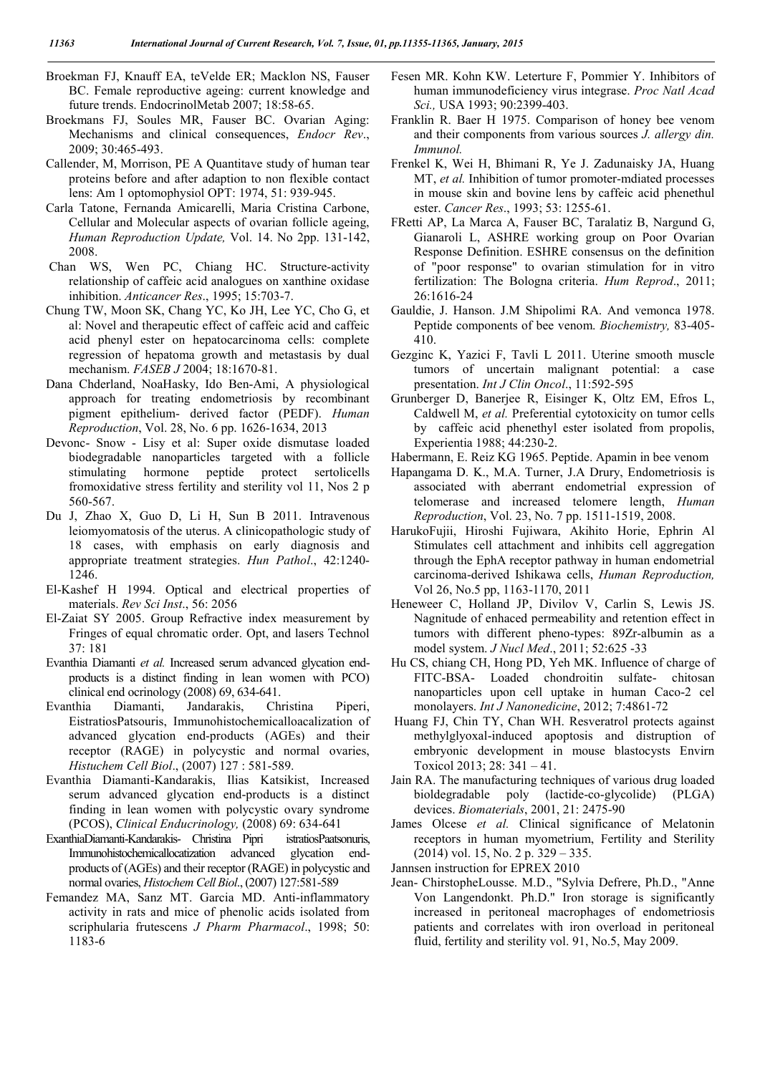- Broekman FJ, Knauff EA, teVelde ER; Macklon NS, Fauser BC. Female reproductive ageing: current knowledge and future trends. EndocrinolMetab 2007; 18:58-65.
- Broekmans FJ, Soules MR, Fauser BC. Ovarian Aging: Mechanisms and clinical consequences, *Endocr Rev*., 2009; 30:465-493.
- Callender, M, Morrison, PE A Quantitave study of human tear proteins before and after adaption to non flexible contact lens: Am 1 optomophysiol OPT: 1974, 51: 939-945.
- Carla Tatone, Fernanda Amicarelli, Maria Cristina Carbone, Cellular and Molecular aspects of ovarian follicle ageing, *Human Reproduction Update,* Vol. 14. No 2pp. 131-142, 2008.
- Chan WS, Wen PC, Chiang HC. Structure-activity relationship of caffeic acid analogues on xanthine oxidase inhibition. *Anticancer Res*., 1995; 15:703-7.
- Chung TW, Moon SK, Chang YC, Ko JH, Lee YC, Cho G, et al: Novel and therapeutic effect of caffeic acid and caffeic acid phenyl ester on hepatocarcinoma cells: complete regression of hepatoma growth and metastasis by dual mechanism. *FASEB J* 2004; 18:1670-81.
- Dana Chderland, NoaHasky, Ido Ben-Ami, A physiological approach for treating endometriosis by recombinant pigment epithelium- derived factor (PEDF). *Human Reproduction*, Vol. 28, No. 6 pp. 1626-1634, 2013
- Devonc- Snow Lisy et al: Super oxide dismutase loaded biodegradable nanoparticles targeted with a follicle stimulating hormone peptide protect sertolicells fromoxidative stress fertility and sterility vol 11, Nos 2 p 560-567.
- Du J, Zhao X, Guo D, Li H, Sun B 2011. Intravenous leiomyomatosis of the uterus. A clinicopathologic study of 18 cases, with emphasis on early diagnosis and appropriate treatment strategies. *Hun Pathol*., 42:1240- 1246.
- El-Kashef H 1994. Optical and electrical properties of materials. *Rev Sci Inst*., 56: 2056
- El-Zaiat SY 2005. Group Refractive index measurement by Fringes of equal chromatic order. Opt, and lasers Technol 37: 181
- Evanthia Diamanti *et al.* Increased serum advanced glycation endproducts is a distinct finding in lean women with PCO) clinical end ocrinology (2008) 69, 634-641.
- Evanthia Diamanti, Jandarakis, Christina Piperi, EistratiosPatsouris, Immunohistochemicalloacalization of advanced glycation end-products (AGEs) and their receptor (RAGE) in polycystic and normal ovaries, *Histuchem Cell Biol*., (2007) 127 : 581-589.
- Evanthia Diamanti-Kandarakis, Ilias Katsikist, Increased serum advanced glycation end-products is a distinct finding in lean women with polycystic ovary syndrome (PCOS), *Clinical Enducrinology,* (2008) 69: 634-641
- ExanthiaDiamanti-Kandarakis- Christina Pipri istratiosPaatsonuris, Immunohistochemicallocatization advanced glycation endproducts of (AGEs) and their receptor (RAGE) in polycystic and normal ovaries, *Histochem Cell Biol*., (2007) 127:581-589
- Femandez MA, Sanz MT. Garcia MD. Anti-inflammatory activity in rats and mice of phenolic acids isolated from scriphularia frutescens *J Pharm Pharmacol*., 1998; 50: 1183-6
- Fesen MR. Kohn KW. Leterture F, Pommier Y. Inhibitors of human immunodeficiency virus integrase. *Proc Natl Acad Sci.,* USA 1993; 90:2399-403.
- Franklin R. Baer H 1975. Comparison of honey bee venom and their components from various sources *J. allergy din. Immunol.*
- Frenkel K, Wei H, Bhimani R, Ye J. Zadunaisky JA, Huang MT, *et al.* Inhibition of tumor promoter-mdiated processes in mouse skin and bovine lens by caffeic acid phenethul ester. *Cancer Res*., 1993; 53: 1255-61.
- FRetti AP, La Marca A, Fauser BC, Taralatiz B, Nargund G, Gianaroli L, ASHRE working group on Poor Ovarian Response Definition. ESHRE consensus on the definition of "poor response" to ovarian stimulation for in vitro fertilization: The Bologna criteria. *Hum Reprod*., 2011; 26:1616-24
- Gauldie, J. Hanson. J.M Shipolimi RA. And vemonca 1978. Peptide components of bee venom. *Biochemistry,* 83-405- 410.
- Gezginc K, Yazici F, Tavli L 2011. Uterine smooth muscle tumors of uncertain malignant potential: a case presentation. *Int J Clin Oncol*., 11:592-595
- Grunberger D, Banerjee R, Eisinger K, Oltz EM, Efros L, Caldwell M, *et al.* Preferential cytotoxicity on tumor cells by caffeic acid phenethyl ester isolated from propolis, Experientia 1988; 44:230-2.
- Habermann, E. Reiz KG 1965. Peptide. Apamin in bee venom
- Hapangama D. K., M.A. Turner, J.A Drury, Endometriosis is associated with aberrant endometrial expression of telomerase and increased telomere length, *Human Reproduction*, Vol. 23, No. 7 pp. 1511-1519, 2008.
- HarukoFujii, Hiroshi Fujiwara, Akihito Horie, Ephrin Al Stimulates cell attachment and inhibits cell aggregation through the EphA receptor pathway in human endometrial carcinoma-derived Ishikawa cells, *Human Reproduction,* Vol 26, No.5 pp, 1163-1170, 2011
- Heneweer C, Holland JP, Divilov V, Carlin S, Lewis JS. Nagnitude of enhaced permeability and retention effect in tumors with different pheno-types: 89Zr-albumin as a model system. *J Nucl Med*., 2011; 52:625 -33
- Hu CS, chiang CH, Hong PD, Yeh MK. Influence of charge of FITC-BSA- Loaded chondroitin sulfate- chitosan nanoparticles upon cell uptake in human Caco-2 cel monolayers. *Int J Nanonedicine*, 2012; 7:4861-72
- Huang FJ, Chin TY, Chan WH. Resveratrol protects against methylglyoxal-induced apoptosis and distruption of embryonic development in mouse blastocysts Envirn Toxicol 2013; 28: 341 – 41.
- Jain RA. The manufacturing techniques of various drug loaded bioldegradable poly (lactide-co-glycolide) (PLGA) devices. *Biomaterials*, 2001, 21: 2475-90
- James Olcese *et al.* Clinical significance of Melatonin receptors in human myometrium, Fertility and Sterility (2014) vol. 15, No. 2 p. 329 – 335.
- Jannsen instruction for EPREX 2010
- Jean- ChirstopheLousse. M.D., "Sylvia Defrere, Ph.D., "Anne Von Langendonkt. Ph.D." Iron storage is significantly increased in peritoneal macrophages of endometriosis patients and correlates with iron overload in peritoneal fluid, fertility and sterility vol. 91, No.5, May 2009.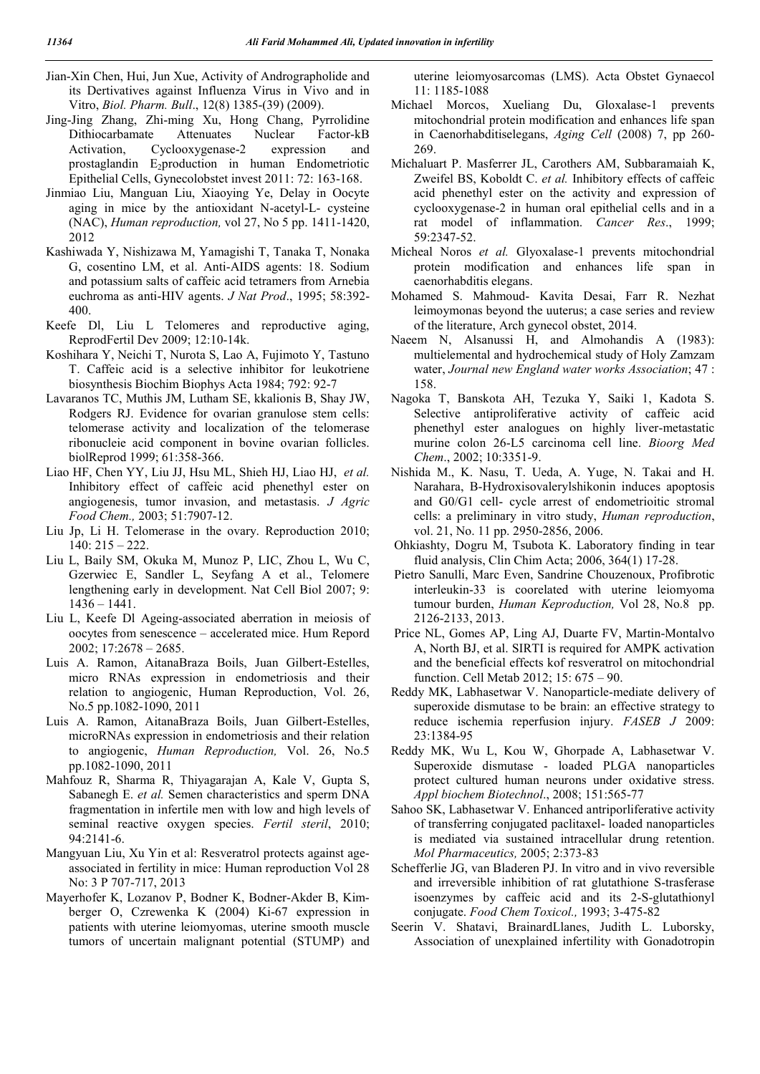- Jian-Xin Chen, Hui, Jun Xue, Activity of Andrographolide and its Dertivatives against Influenza Virus in Vivo and in Vitro, *Biol. Pharm. Bull*., 12(8) 1385-(39) (2009).
- Jing-Jing Zhang, Zhi-ming Xu, Hong Chang, Pyrrolidine Dithiocarbamate Attenuates Nuclear Factor-kB Activation, Cyclooxygenase-2 expression and prostaglandin  $E_2$ production in human Endometriotic Epithelial Cells, Gynecolobstet invest 2011: 72: 163-168.
- Jinmiao Liu, Manguan Liu, Xiaoying Ye, Delay in Oocyte aging in mice by the antioxidant N-acetyl-L- cysteine (NAC), *Human reproduction,* vol 27, No 5 pp. 1411-1420, 2012
- Kashiwada Y, Nishizawa M, Yamagishi T, Tanaka T, Nonaka G, cosentino LM, et al. Anti-AIDS agents: 18. Sodium and potassium salts of caffeic acid tetramers from Arnebia euchroma as anti-HIV agents. *J Nat Prod*., 1995; 58:392- 400.
- Keefe Dl, Liu L Telomeres and reproductive aging, ReprodFertil Dev 2009; 12:10-14k.
- Koshihara Y, Neichi T, Nurota S, Lao A, Fujimoto Y, Tastuno T. Caffeic acid is a selective inhibitor for leukotriene biosynthesis Biochim Biophys Acta 1984; 792: 92-7
- Lavaranos TC, Muthis JM, Lutham SE, kkalionis B, Shay JW, Rodgers RJ. Evidence for ovarian granulose stem cells: telomerase activity and localization of the telomerase ribonucleie acid component in bovine ovarian follicles. biolReprod 1999; 61:358-366.
- Liao HF, Chen YY, Liu JJ, Hsu ML, Shieh HJ, Liao HJ, *et al.* Inhibitory effect of caffeic acid phenethyl ester on angiogenesis, tumor invasion, and metastasis. *J Agric Food Chem.,* 2003; 51:7907-12.
- Liu Jp, Li H. Telomerase in the ovary. Reproduction 2010; 140: 215 – 222.
- Liu L, Baily SM, Okuka M, Munoz P, LIC, Zhou L, Wu C, Gzerwiec E, Sandler L, Seyfang A et al., Telomere lengthening early in development. Nat Cell Biol 2007; 9: 1436 – 1441.
- Liu L, Keefe Dl Ageing-associated aberration in meiosis of oocytes from senescence – accelerated mice. Hum Repord 2002; 17:2678 – 2685.
- Luis A. Ramon, AitanaBraza Boils, Juan Gilbert-Estelles, micro RNAs expression in endometriosis and their relation to angiogenic, Human Reproduction, Vol. 26, No.5 pp.1082-1090, 2011
- Luis A. Ramon, AitanaBraza Boils, Juan Gilbert-Estelles, microRNAs expression in endometriosis and their relation to angiogenic, *Human Reproduction,* Vol. 26, No.5 pp.1082-1090, 2011
- Mahfouz R, Sharma R, Thiyagarajan A, Kale V, Gupta S, Sabanegh E. *et al.* Semen characteristics and sperm DNA fragmentation in infertile men with low and high levels of seminal reactive oxygen species. *Fertil steril*, 2010; 94:2141-6.
- Mangyuan Liu, Xu Yin et al: Resveratrol protects against ageassociated in fertility in mice: Human reproduction Vol 28 No: 3 P 707-717, 2013
- Mayerhofer K, Lozanov P, Bodner K, Bodner-Akder B, Kimberger O, Czrewenka K (2004) Ki-67 expression in patients with uterine leiomyomas, uterine smooth muscle tumors of uncertain malignant potential (STUMP) and

uterine leiomyosarcomas (LMS). Acta Obstet Gynaecol 11: 1185-1088

- Michael Morcos, Xueliang Du, Gloxalase-1 prevents mitochondrial protein modification and enhances life span in Caenorhabditiselegans, *Aging Cell* (2008) 7, pp 260- 269.
- Michaluart P. Masferrer JL, Carothers AM, Subbaramaiah K, Zweifel BS, Koboldt C. *et al.* Inhibitory effects of caffeic acid phenethyl ester on the activity and expression of cyclooxygenase-2 in human oral epithelial cells and in a rat model of inflammation. *Cancer Res*., 1999; 59:2347-52.
- Micheal Noros *et al.* Glyoxalase-1 prevents mitochondrial protein modification and enhances life span in caenorhabditis elegans.
- Mohamed S. Mahmoud- Kavita Desai, Farr R. Nezhat leimoymonas beyond the uuterus; a case series and review of the literature, Arch gynecol obstet, 2014.
- Naeem N, Alsanussi H, and Almohandis A (1983): multielemental and hydrochemical study of Holy Zamzam water, *Journal new England water works Association*; 47 : 158.
- Nagoka T, Banskota AH, Tezuka Y, Saiki 1, Kadota S. Selective antiproliferative activity of caffeic acid phenethyl ester analogues on highly liver-metastatic murine colon 26-L5 carcinoma cell line. *Bioorg Med Chem*., 2002; 10:3351-9.
- Nishida M., K. Nasu, T. Ueda, A. Yuge, N. Takai and H. Narahara, B-Hydroxisovalerylshikonin induces apoptosis and G0/G1 cell- cycle arrest of endometrioitic stromal cells: a preliminary in vitro study, *Human reproduction*, vol. 21, No. 11 pp. 2950-2856, 2006.
- Ohkiashty, Dogru M, Tsubota K. Laboratory finding in tear fluid analysis, Clin Chim Acta; 2006, 364(1) 17-28.
- Pietro Sanulli, Marc Even, Sandrine Chouzenoux, Profibrotic interleukin-33 is coorelated with uterine leiomyoma tumour burden, *Human Keproduction,* Vol 28, No.8 pp. 2126-2133, 2013.
- Price NL, Gomes AP, Ling AJ, Duarte FV, Martin-Montalvo A, North BJ, et al. SIRTI is required for AMPK activation and the beneficial effects kof resveratrol on mitochondrial function. Cell Metab 2012; 15: 675 – 90.
- Reddy MK, Labhasetwar V. Nanoparticle-mediate delivery of superoxide dismutase to be brain: an effective strategy to reduce ischemia reperfusion injury. *FASEB J* 2009: 23:1384-95
- Reddy MK, Wu L, Kou W, Ghorpade A, Labhasetwar V. Superoxide dismutase - loaded PLGA nanoparticles protect cultured human neurons under oxidative stress. *Appl biochem Biotechnol*., 2008; 151:565-77
- Sahoo SK, Labhasetwar V. Enhanced antriporliferative activity of transferring conjugated paclitaxel- loaded nanoparticles is mediated via sustained intracellular drung retention. *Mol Pharmaceutics,* 2005; 2:373-83
- Schefferlie JG, van Bladeren PJ. In vitro and in vivo reversible and irreversible inhibition of rat glutathione S-trasferase isoenzymes by caffeic acid and its 2-S-glutathionyl conjugate. *Food Chem Toxicol.,* 1993; 3-475-82
- Seerin V. Shatavi, BrainardLlanes, Judith L. Luborsky, Association of unexplained infertility with Gonadotropin